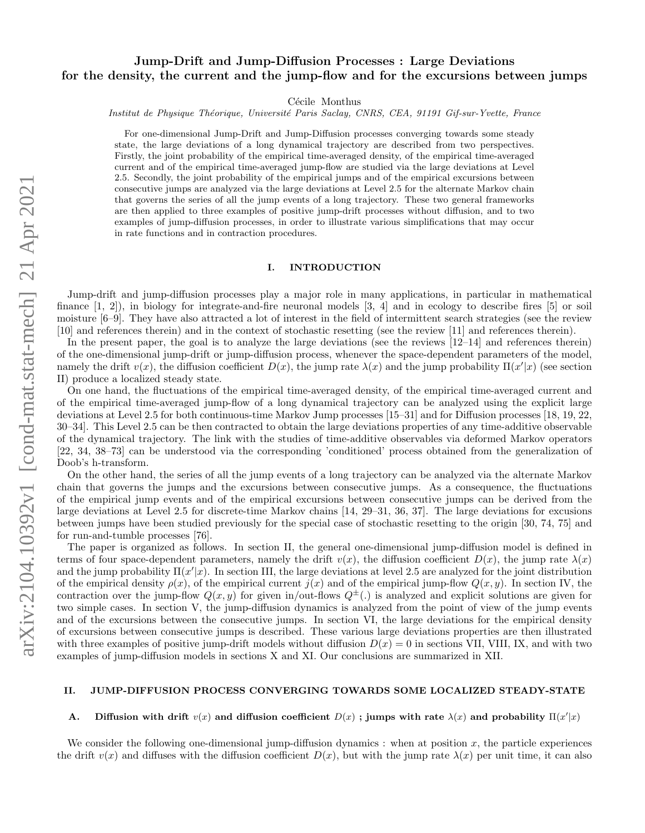# Jump-Drift and Jump-Diffusion Processes : Large Deviations for the density, the current and the jump-flow and for the excursions between jumps

Cécile Monthus

Institut de Physique Théorique, Université Paris Saclay, CNRS, CEA, 91191 Gif-sur-Yvette, France

For one-dimensional Jump-Drift and Jump-Diffusion processes converging towards some steady state, the large deviations of a long dynamical trajectory are described from two perspectives. Firstly, the joint probability of the empirical time-averaged density, of the empirical time-averaged current and of the empirical time-averaged jump-flow are studied via the large deviations at Level 2.5. Secondly, the joint probability of the empirical jumps and of the empirical excursions between consecutive jumps are analyzed via the large deviations at Level 2.5 for the alternate Markov chain that governs the series of all the jump events of a long trajectory. These two general frameworks are then applied to three examples of positive jump-drift processes without diffusion, and to two examples of jump-diffusion processes, in order to illustrate various simplifications that may occur in rate functions and in contraction procedures.

#### I. INTRODUCTION

Jump-drift and jump-diffusion processes play a major role in many applications, in particular in mathematical finance [1, 2]), in biology for integrate-and-fire neuronal models [3, 4] and in ecology to describe fires [5] or soil moisture [6–9]. They have also attracted a lot of interest in the field of intermittent search strategies (see the review [10] and references therein) and in the context of stochastic resetting (see the review [11] and references therein).

In the present paper, the goal is to analyze the large deviations (see the reviews [12–14] and references therein) of the one-dimensional jump-drift or jump-diffusion process, whenever the space-dependent parameters of the model, namely the drift  $v(x)$ , the diffusion coefficient  $D(x)$ , the jump rate  $\lambda(x)$  and the jump probability  $\Pi(x'|x)$  (see section II) produce a localized steady state.

On one hand, the fluctuations of the empirical time-averaged density, of the empirical time-averaged current and of the empirical time-averaged jump-flow of a long dynamical trajectory can be analyzed using the explicit large deviations at Level 2.5 for both continuous-time Markov Jump processes [15–31] and for Diffusion processes [18, 19, 22, 30–34]. This Level 2.5 can be then contracted to obtain the large deviations properties of any time-additive observable of the dynamical trajectory. The link with the studies of time-additive observables via deformed Markov operators [22, 34, 38–73] can be understood via the corresponding 'conditioned' process obtained from the generalization of Doob's h-transform.

On the other hand, the series of all the jump events of a long trajectory can be analyzed via the alternate Markov chain that governs the jumps and the excursions between consecutive jumps. As a consequence, the fluctuations of the empirical jump events and of the empirical excursions between consecutive jumps can be derived from the large deviations at Level 2.5 for discrete-time Markov chains [14, 29–31, 36, 37]. The large deviations for excusions between jumps have been studied previously for the special case of stochastic resetting to the origin [30, 74, 75] and for run-and-tumble processes [76].

The paper is organized as follows. In section II, the general one-dimensional jump-diffusion model is defined in terms of four space-dependent parameters, namely the drift  $v(x)$ , the diffusion coefficient  $D(x)$ , the jump rate  $\lambda(x)$ and the jump probability  $\Pi(x'|x)$ . In section III, the large deviations at level 2.5 are analyzed for the joint distribution of the empirical density  $\rho(x)$ , of the empirical current  $j(x)$  and of the empirical jump-flow  $Q(x, y)$ . In section IV, the contraction over the jump-flow  $Q(x, y)$  for given in/out-flows  $Q^{\pm}$ . is analyzed and explicit solutions are given for two simple cases. In section V, the jump-diffusion dynamics is analyzed from the point of view of the jump events and of the excursions between the consecutive jumps. In section VI, the large deviations for the empirical density of excursions between consecutive jumps is described. These various large deviations properties are then illustrated with three examples of positive jump-drift models without diffusion  $D(x) = 0$  in sections VII, VIII, IX, and with two examples of jump-diffusion models in sections X and XI. Our conclusions are summarized in XII.

#### II. JUMP-DIFFUSION PROCESS CONVERGING TOWARDS SOME LOCALIZED STEADY-STATE

## A. Diffusion with drift  $v(x)$  and diffusion coefficient  $D(x)$ ; jumps with rate  $\lambda(x)$  and probability  $\Pi(x'|x)$

We consider the following one-dimensional jump-diffusion dynamics : when at position  $x$ , the particle experiences the drift  $v(x)$  and diffuses with the diffusion coefficient  $D(x)$ , but with the jump rate  $\lambda(x)$  per unit time, it can also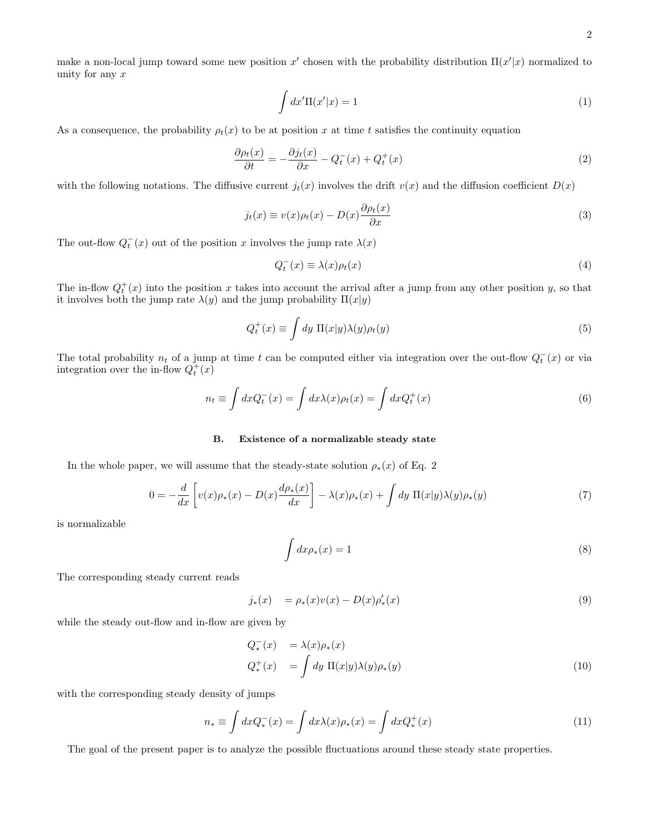make a non-local jump toward some new position x' chosen with the probability distribution  $\Pi(x'|x)$  normalized to unity for any  $x$ 

$$
\int dx' \Pi(x'|x) = 1\tag{1}
$$

As a consequence, the probability  $\rho_t(x)$  to be at position x at time t satisfies the continuity equation

$$
\frac{\partial \rho_t(x)}{\partial t} = -\frac{\partial j_t(x)}{\partial x} - Q_t^-(x) + Q_t^+(x) \tag{2}
$$

with the following notations. The diffusive current  $j_t(x)$  involves the drift  $v(x)$  and the diffusion coefficient  $D(x)$ 

$$
j_t(x) \equiv v(x)\rho_t(x) - D(x)\frac{\partial \rho_t(x)}{\partial x}
$$
\n(3)

The out-flow  $Q_t^-(x)$  out of the position x involves the jump rate  $\lambda(x)$ 

$$
Q_t^-(x) \equiv \lambda(x)\rho_t(x) \tag{4}
$$

The in-flow  $Q_t^+(x)$  into the position x takes into account the arrival after a jump from any other position y, so that it involves both the jump rate  $\lambda(y)$  and the jump probability  $\Pi(x|y)$ 

$$
Q_t^+(x) \equiv \int dy \, \Pi(x|y)\lambda(y)\rho_t(y) \tag{5}
$$

The total probability  $n_t$  of a jump at time t can be computed either via integration over the out-flow  $Q_t^-(x)$  or via integration over the in-flow  $Q_t^+(x)$ 

$$
n_t \equiv \int dx Q_t^-(x) = \int dx \lambda(x) \rho_t(x) = \int dx Q_t^+(x)
$$
\n(6)

## B. Existence of a normalizable steady state

In the whole paper, we will assume that the steady-state solution  $\rho_*(x)$  of Eq. 2

$$
0 = -\frac{d}{dx}\left[v(x)\rho_*(x) - D(x)\frac{d\rho_*(x)}{dx}\right] - \lambda(x)\rho_*(x) + \int dy \ \Pi(x|y)\lambda(y)\rho_*(y) \tag{7}
$$

is normalizable

$$
\int dx \rho_*(x) = 1 \tag{8}
$$

The corresponding steady current reads

$$
j_*(x) = \rho_*(x)v(x) - D(x)\rho'_*(x)
$$
\n(9)

while the steady out-flow and in-flow are given by

$$
Q_*^-(x) = \lambda(x)\rho_*(x)
$$
  
\n
$$
Q_*^+(x) = \int dy \, \Pi(x|y)\lambda(y)\rho_*(y)
$$
\n(10)

with the corresponding steady density of jumps

$$
n_* \equiv \int dx Q_*^-(x) = \int dx \lambda(x) \rho_*(x) = \int dx Q_*^+(x) \tag{11}
$$

The goal of the present paper is to analyze the possible fluctuations around these steady state properties.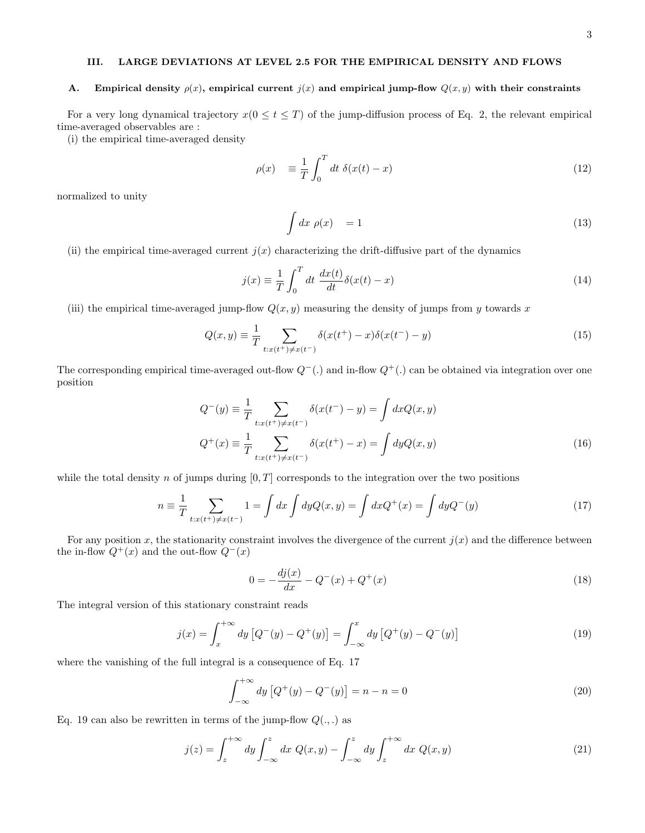## III. LARGE DEVIATIONS AT LEVEL 2.5 FOR THE EMPIRICAL DENSITY AND FLOWS

#### A. Empirical density  $\rho(x)$ , empirical current  $j(x)$  and empirical jump-flow  $Q(x, y)$  with their constraints

For a very long dynamical trajectory  $x(0 \le t \le T)$  of the jump-diffusion process of Eq. 2, the relevant empirical time-averaged observables are :

(i) the empirical time-averaged density

$$
\rho(x) = \frac{1}{T} \int_0^T dt \ \delta(x(t) - x) \tag{12}
$$

normalized to unity

$$
\int dx \, \rho(x) = 1 \tag{13}
$$

(ii) the empirical time-averaged current  $j(x)$  characterizing the drift-diffusive part of the dynamics

$$
j(x) \equiv \frac{1}{T} \int_0^T dt \frac{dx(t)}{dt} \delta(x(t) - x)
$$
\n(14)

(iii) the empirical time-averaged jump-flow  $Q(x, y)$  measuring the density of jumps from y towards x

$$
Q(x,y) \equiv \frac{1}{T} \sum_{t:x(t^+) \neq x(t^-)} \delta(x(t^+) - x)\delta(x(t^-) - y)
$$
\n(15)

The corresponding empirical time-averaged out-flow  $Q^-(.)$  and in-flow  $Q^+(\cdot)$  can be obtained via integration over one position

$$
Q^{-}(y) \equiv \frac{1}{T} \sum_{t:x(t^{+}) \neq x(t^{-})} \delta(x(t^{-}) - y) = \int dx Q(x, y)
$$
  

$$
Q^{+}(x) \equiv \frac{1}{T} \sum_{t:x(t^{+}) \neq x(t^{-})} \delta(x(t^{+}) - x) = \int dy Q(x, y)
$$
 (16)

while the total density n of jumps during  $[0, T]$  corresponds to the integration over the two positions

$$
n \equiv \frac{1}{T} \sum_{t:x(t^{+}) \neq x(t^{-})} 1 = \int dx \int dy Q(x, y) = \int dx Q^{+}(x) = \int dy Q^{-}(y)
$$
\n(17)

For any position x, the stationarity constraint involves the divergence of the current  $j(x)$  and the difference between the in-flow  $Q^+(x)$  and the out-flow  $Q^-(x)$ 

$$
0 = -\frac{dj(x)}{dx} - Q^{-}(x) + Q^{+}(x)
$$
\n(18)

The integral version of this stationary constraint reads

$$
j(x) = \int_{x}^{+\infty} dy \left[ Q^{-}(y) - Q^{+}(y) \right] = \int_{-\infty}^{x} dy \left[ Q^{+}(y) - Q^{-}(y) \right]
$$
 (19)

where the vanishing of the full integral is a consequence of Eq. 17

$$
\int_{-\infty}^{+\infty} dy \left[ Q^+(y) - Q^-(y) \right] = n - n = 0 \tag{20}
$$

Eq. 19 can also be rewritten in terms of the jump-flow  $Q(.,.)$  as

$$
j(z) = \int_{z}^{+\infty} dy \int_{-\infty}^{z} dx Q(x, y) - \int_{-\infty}^{z} dy \int_{z}^{+\infty} dx Q(x, y)
$$
 (21)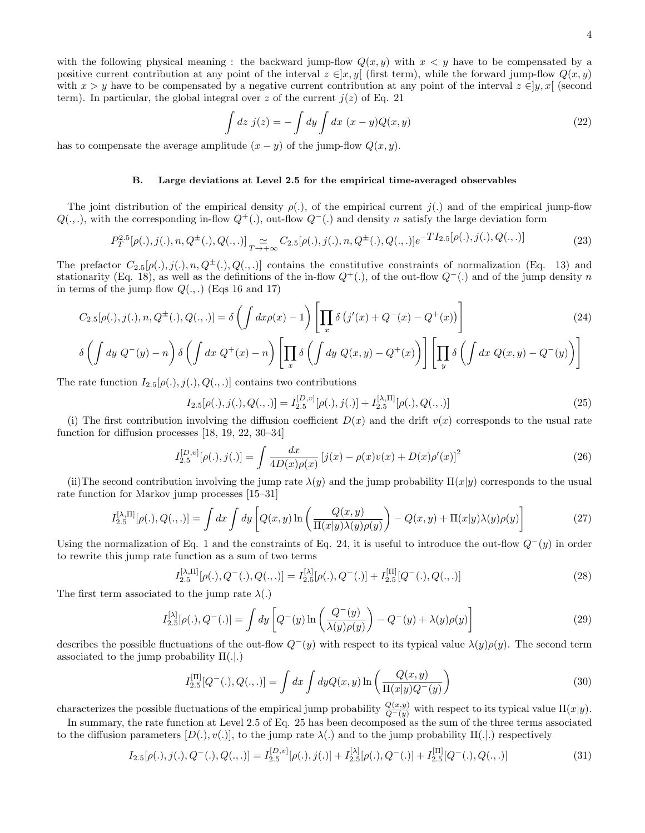with the following physical meaning : the backward jump-flow  $Q(x, y)$  with  $x < y$  have to be compensated by a positive current contribution at any point of the interval  $z \in ]x, y[$  (first term), while the forward jump-flow  $Q(x, y)$ with  $x > y$  have to be compensated by a negative current contribution at any point of the interval  $z \in [y, x]$  (second term). In particular, the global integral over z of the current  $j(z)$  of Eq. 21

$$
\int dz \, j(z) = -\int dy \int dx \, (x - y)Q(x, y) \tag{22}
$$

has to compensate the average amplitude  $(x - y)$  of the jump-flow  $Q(x, y)$ .

#### B. Large deviations at Level 2.5 for the empirical time-averaged observables

The joint distribution of the empirical density  $\rho(.)$ , of the empirical current j(.) and of the empirical jump-flow  $Q(.,.),$  with the corresponding in-flow  $Q^+(\cdot)$ , out-flow  $Q^-(.)$  and density n satisfy the large deviation form

$$
P_T^{2.5}[\rho(.), j(.), n, Q^{\pm}(.) , Q(., .)]_{T \to +\infty} C_{2.5}[\rho(.), j(.), n, Q^{\pm}(.) , Q(., .)]e^{-T I_{2.5}[\rho(.), j(.), Q(., .)]}
$$
(23)

The prefactor  $C_{2.5}[\rho(.), j(.), n, Q^{\pm}(.), Q(., .)]$  contains the constitutive constraints of normalization (Eq. 13) and stationarity (Eq. 18), as well as the definitions of the in-flow  $Q^+(\cdot)$ , of the out-flow  $Q^-(.)$  and of the jump density n in terms of the jump flow  $Q(.,.)$  (Eqs 16 and 17)

$$
C_{2.5}[\rho(.), j(.), n, Q^{\pm}(.) , Q(., .)] = \delta \left( \int dx \rho(x) - 1 \right) \left[ \prod_x \delta \left( j'(x) + Q^-(x) - Q^+(x) \right) \right]
$$
\n
$$
\delta \left( \int_{-1}^{1} \rho(z) \right) \delta \left( \int_{-1}^{1} \rho(z) \right) \left[ \prod_x \delta \left( j'(x) + Q^-(x) - Q^+(x) \right) \right] \left[ \prod_x \delta \left( j'(x) + Q^-(x) - Q^+(x) \right) \right]
$$
\n
$$
(24)
$$

$$
\delta\left(\int dy\ Q^-(y)-n\right)\delta\left(\int dx\ Q^+(x)-n\right)\left[\prod_x \delta\left(\int dy\ Q(x,y)-Q^+(x)\right)\right]\left[\prod_y \delta\left(\int dx\ Q(x,y)-Q^-(y)\right)\right]
$$

The rate function  $I_{2.5}[\rho(.)$ ,  $j(.)$ ,  $Q(.)$ ,  $]$  contains two contributions

$$
I_{2.5}[\rho(.), j(.), Q(.,.)] = I_{2.5}^{[D,v]}[\rho(.), j(.)] + I_{2.5}^{[\lambda, \Pi]}[\rho(.), Q(.,.)]
$$
\n(25)

(i) The first contribution involving the diffusion coefficient  $D(x)$  and the drift  $v(x)$  corresponds to the usual rate function for diffusion processes [18, 19, 22, 30–34]

$$
I_{2.5}^{[D,v]}[\rho(.),j(.)] = \int \frac{dx}{4D(x)\rho(x)} \left[j(x) - \rho(x)v(x) + D(x)\rho'(x)\right]^2 \tag{26}
$$

(ii)The second contribution involving the jump rate  $\lambda(y)$  and the jump probability  $\Pi(x|y)$  corresponds to the usual rate function for Markov jump processes [15–31]

$$
I_{2.5}^{[\lambda,\Pi]}[\rho(.),Q(.,.)] = \int dx \int dy \left[Q(x,y)\ln\left(\frac{Q(x,y)}{\Pi(x|y)\lambda(y)\rho(y)}\right) - Q(x,y) + \Pi(x|y)\lambda(y)\rho(y)\right]
$$
(27)

Using the normalization of Eq. 1 and the constraints of Eq. 24, it is useful to introduce the out-flow  $Q^-(y)$  in order to rewrite this jump rate function as a sum of two terms

$$
I_{2.5}^{[\lambda,\Pi]}[\rho(.),Q^-(.),Q(.,.)] = I_{2.5}^{[\lambda]}[\rho(.),Q^-(.)] + I_{2.5}^{[\Pi]}[Q^-(.),Q(.,.)]
$$
\n(28)

The first term associated to the jump rate  $\lambda(.)$ 

$$
I_{2.5}^{[\lambda]}[\rho(.), Q^{-}(.)] = \int dy \left[ Q^{-}(y) \ln \left( \frac{Q^{-}(y)}{\lambda(y)\rho(y)} \right) - Q^{-}(y) + \lambda(y)\rho(y) \right]
$$
(29)

describes the possible fluctuations of the out-flow  $Q^-(y)$  with respect to its typical value  $\lambda(y)\rho(y)$ . The second term associated to the jump probability  $\Pi(.)$ 

$$
I_{2.5}^{[\Pi]}[Q^-(.) , Q(., .)] = \int dx \int dy Q(x, y) \ln \left( \frac{Q(x, y)}{\Pi(x|y)Q^-(y)} \right)
$$
(30)

characterizes the possible fluctuations of the empirical jump probability  $\frac{Q(x,y)}{Q^-(y)}$  with respect to its typical value  $\Pi(x|y)$ .

In summary, the rate function at Level 2.5 of Eq. 25 has been decomposed as the sum of the three terms associated to the diffusion parameters  $[D(.), v(.)]$ , to the jump rate  $\lambda(.)$  and to the jump probability  $\Pi(.)$  respectively

$$
I_{2.5}[\rho(.), j(.), Q^-(.) , Q(., .)] = I_{2.5}^{[D, v]}[\rho(.), j(.)] + I_{2.5}^{[\lambda]}[\rho(.), Q^-(.)] + I_{2.5}^{[\Pi]}[Q^-(.) , Q(., .)]
$$
\n(31)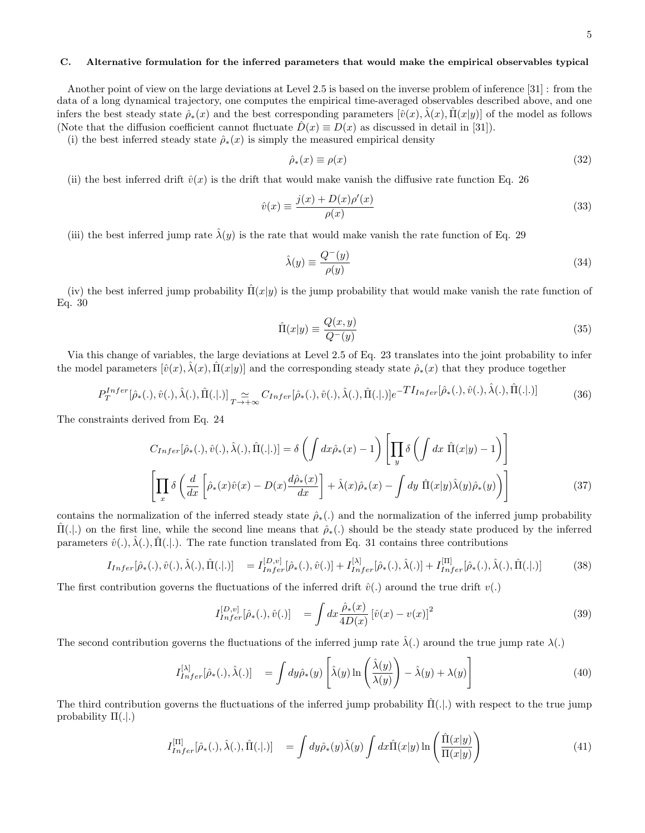## C. Alternative formulation for the inferred parameters that would make the empirical observables typical

Another point of view on the large deviations at Level 2.5 is based on the inverse problem of inference [31] : from the data of a long dynamical trajectory, one computes the empirical time-averaged observables described above, and one infers the best steady state  $\hat{\rho}_*(x)$  and the best corresponding parameters  $[\hat{v}(x), \hat{\lambda}(x), \Pi(x|y)]$  of the model as follows (Note that the diffusion coefficient cannot fluctuate  $D(x) \equiv D(x)$  as discussed in detail in [31]).

(i) the best inferred steady state  $\hat{\rho}_*(x)$  is simply the measured empirical density

$$
\hat{\rho}_*(x) \equiv \rho(x) \tag{32}
$$

(ii) the best inferred drift  $\hat{v}(x)$  is the drift that would make vanish the diffusive rate function Eq. 26

$$
\hat{v}(x) \equiv \frac{j(x) + D(x)\rho'(x)}{\rho(x)}\tag{33}
$$

(iii) the best inferred jump rate  $\hat{\lambda}(y)$  is the rate that would make vanish the rate function of Eq. 29

$$
\hat{\lambda}(y) \equiv \frac{Q^-(y)}{\rho(y)}\tag{34}
$$

(iv) the best inferred jump probability  $\Pi(x|y)$  is the jump probability that would make vanish the rate function of Eq. 30

$$
\hat{\Pi}(x|y) \equiv \frac{Q(x,y)}{Q^-(y)}\tag{35}
$$

Via this change of variables, the large deviations at Level 2.5 of Eq. 23 translates into the joint probability to infer the model parameters  $[\hat{v}(x), \lambda(x), \Pi(x|y)]$  and the corresponding steady state  $\hat{\rho}_*(x)$  that they produce together

$$
P_T^{Infer}[\hat{\rho}_*(.) , \hat{v}(.) , \hat{\lambda}(.) , \hat{\Pi}(.)]_{T \to +\infty} C_{Infer}[\hat{\rho}_*(.) , \hat{v}(.) , \hat{\lambda}(.) , \hat{\Pi}(.)]e^{-T I_{Infer}[\hat{\rho}_*(.) , \hat{v}(.) , \hat{\lambda}(.) , \hat{\Pi}(.)]} \tag{36}
$$

The constraints derived from Eq. 24

$$
C_{Infer}[\hat{\rho}_{*}(.) , \hat{v}(.) , \hat{\lambda}(.) , \hat{\Pi}(.)] = \delta \left( \int dx \hat{\rho}_{*}(x) - 1 \right) \left[ \prod_{y} \delta \left( \int dx \hat{\Pi}(x|y) - 1 \right) \right]
$$

$$
\left[ \prod_{x} \delta \left( \frac{d}{dx} \left[ \hat{\rho}_{*}(x) \hat{v}(x) - D(x) \frac{d \hat{\rho}_{*}(x)}{dx} \right] + \hat{\lambda}(x) \hat{\rho}_{*}(x) - \int dy \hat{\Pi}(x|y) \hat{\lambda}(y) \hat{\rho}_{*}(y) \right) \right]
$$
(37)

contains the normalization of the inferred steady state  $\hat{\rho}_*(.)$  and the normalization of the inferred jump probability  $\Pi(.)$  on the first line, while the second line means that  $\hat{\rho}_*(.)$  should be the steady state produced by the inferred parameters  $\hat{v}(.)$ ,  $\hat{\lambda}(.)$ ,  $\hat{\Pi}(.|.)$ . The rate function translated from Eq. 31 contains three contributions

$$
I_{Infer}[\hat{\rho}_{*}(.) , \hat{v}(.) , \hat{\lambda}(.) , \hat{\Pi}(.)] = I_{Infer}^{[D,v]}[\hat{\rho}_{*}(.) , \hat{v}(.)] + I_{Infer}^{[\lambda]}[\hat{\rho}_{*}(.) , \hat{\lambda}(.)] + I_{Infer}^{[\Pi]}[\hat{\rho}_{*}(.) , \hat{\lambda}(.) , \hat{\Pi}(.)]
$$
(38)

The first contribution governs the fluctuations of the inferred drift  $\hat{v}(.)$  around the true drift  $v(.)$ 

$$
I_{Infer}^{[D,v]}[\hat{\rho}_{*}(.) , \hat{v}(.)] = \int dx \frac{\hat{\rho}_{*}(x)}{4D(x)} [\hat{v}(x) - v(x)]^{2}
$$
(39)

The second contribution governs the fluctuations of the inferred jump rate  $\hat{\lambda}$ (.) around the true jump rate  $\lambda$ (.)

$$
I_{Infer}^{[\lambda]}[\hat{\rho}_{*}(.) , \hat{\lambda}(.)] = \int dy \hat{\rho}_{*}(y) \left[ \hat{\lambda}(y) \ln \left( \frac{\hat{\lambda}(y)}{\lambda(y)} \right) - \hat{\lambda}(y) + \lambda(y) \right]
$$
(40)

The third contribution governs the fluctuations of the inferred jump probability  $\Pi(.|.)$  with respect to the true jump probability  $\Pi(.)$ 

$$
I_{Infer}^{[\Pi]}[\hat{\rho}_{*}(.) , \hat{\lambda}(.) , \hat{\Pi}(.)] = \int dy \hat{\rho}_{*}(y) \hat{\lambda}(y) \int dx \hat{\Pi}(x|y) \ln \left( \frac{\hat{\Pi}(x|y)}{\Pi(x|y)} \right)
$$
(41)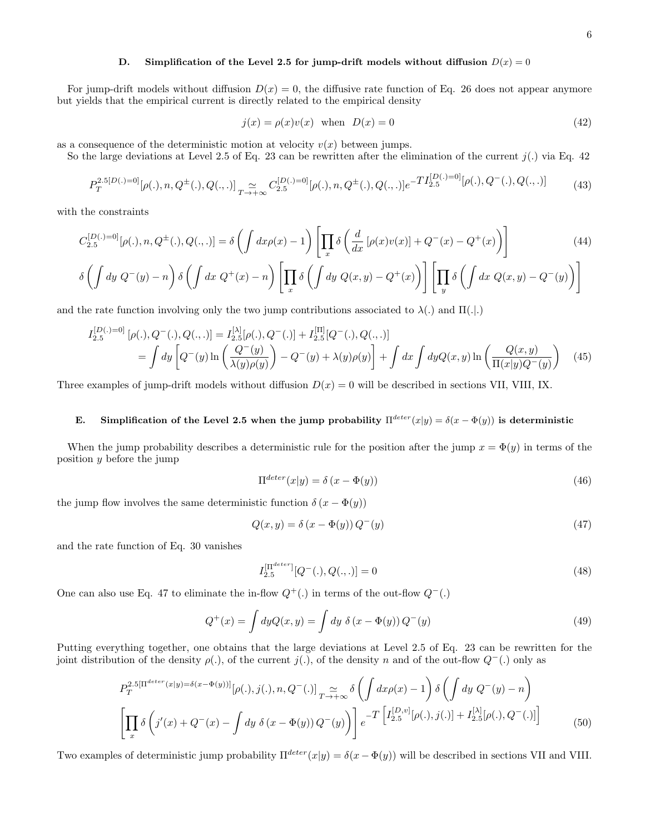#### D. Simplification of the Level 2.5 for jump-drift models without diffusion  $D(x) = 0$

For jump-drift models without diffusion  $D(x) = 0$ , the diffusive rate function of Eq. 26 does not appear anymore but yields that the empirical current is directly related to the empirical density

$$
j(x) = \rho(x)v(x) \quad \text{when} \quad D(x) = 0 \tag{42}
$$

as a consequence of the deterministic motion at velocity  $v(x)$  between jumps.

So the large deviations at Level 2.5 of Eq. 23 can be rewritten after the elimination of the current  $j(.)$  via Eq. 42

$$
P_T^{2.5[D(.)=0]}[\rho(.), n, Q^{\pm}(.) , Q(., .)]_{T \to +\infty} C_{2.5}^{[D(.)=0]}[\rho(.), n, Q^{\pm}(.) , Q(., .)]e^{-T I_{2.5}^{[D(.)=0]}[\rho(.), Q^-(.) , Q(., .)]
$$
(43)

with the constraints

$$
C_{2.5}^{[D(.)=0]}[\rho(.), n, Q^{\pm}(.) , Q(., .)] = \delta \left( \int dx \rho(x) - 1 \right) \left[ \prod_x \delta \left( \frac{d}{dx} \left[ \rho(x)v(x) \right] + Q^-(x) - Q^+(x) \right) \right]
$$
(44)  

$$
\delta \left( \int dy Q^-(y) - n \right) \delta \left( \int dx Q^+(x) - n \right) \left[ \prod_x \delta \left( \int dy Q(x, y) - Q^+(x) \right) \right] \left[ \prod_x \delta \left( \int dx Q(x, y) - Q^-(y) \right) \right]
$$

x  $\overline{y}$ 

and the rate function involving only the two jump contributions associated to  $\lambda(.)$  and  $\Pi(.)$ 

$$
I_{2.5}^{[D(.)=0]} [\rho(.), Q^-(.) , Q(., .)] = I_{2.5}^{[\lambda]} [\rho(.), Q^-(.)] + I_{2.5}^{[\Pi]} [Q^-(.) , Q(., .)]
$$
  
= 
$$
\int dy \left[ Q^-(y) \ln \left( \frac{Q^-(y)}{\lambda(y)\rho(y)} \right) - Q^-(y) + \lambda(y)\rho(y) \right] + \int dx \int dy Q(x, y) \ln \left( \frac{Q(x, y)}{\Pi(x|y)Q^-(y)} \right) \tag{45}
$$

Three examples of jump-drift models without diffusion  $D(x) = 0$  will be described in sections VII, VIII, IX.

# E. Simplification of the Level 2.5 when the jump probability  $\Pi^{detect}(x|y) = \delta(x - \Phi(y))$  is deterministic

When the jump probability describes a deterministic rule for the position after the jump  $x = \Phi(y)$  in terms of the position y before the jump

$$
\Pi^{deter}(x|y) = \delta(x - \Phi(y))\tag{46}
$$

the jump flow involves the same deterministic function  $\delta(x - \Phi(y))$ 

$$
Q(x, y) = \delta\left(x - \Phi(y)\right)Q^-(y) \tag{47}
$$

and the rate function of Eq. 30 vanishes

$$
I_{2.5}^{[\Pi^{deter}]}[Q^-(.), Q(., .)] = 0
$$
\n(48)

One can also use Eq. 47 to eliminate the in-flow  $Q^+(\cdot)$  in terms of the out-flow  $Q^-(.)$ 

$$
Q^{+}(x) = \int dy Q(x, y) = \int dy \ \delta(x - \Phi(y)) Q^{-}(y)
$$
\n(49)

Putting everything together, one obtains that the large deviations at Level 2.5 of Eq. 23 can be rewritten for the joint distribution of the density  $\rho(.)$ , of the current j(.), of the density n and of the out-flow  $Q^-(.)$  only as

$$
P_T^{2.5[\Pi^{detect}(x|y)=\delta(x-\Phi(y))]}[\rho(.),j(.),n,Q^-(.)]_{T\to+\infty} \delta\left(\int dx \rho(x)-1\right) \delta\left(\int dy Q^-(y)-n\right)
$$
  

$$
\left[\prod_x \delta\left(j'(x)+Q^-(x)-\int dy \delta(x-\Phi(y))Q^-(y)\right)\right] e^{-T\left[I_{2.5}^{[D,v]}[\rho(.),j(.)]+I_{2.5}^{[\lambda]}[\rho(.),Q^-(.)]\right]}
$$
(50)

Two examples of deterministic jump probability  $\Pi^{deter}(x|y) = \delta(x - \Phi(y))$  will be described in sections VII and VIII.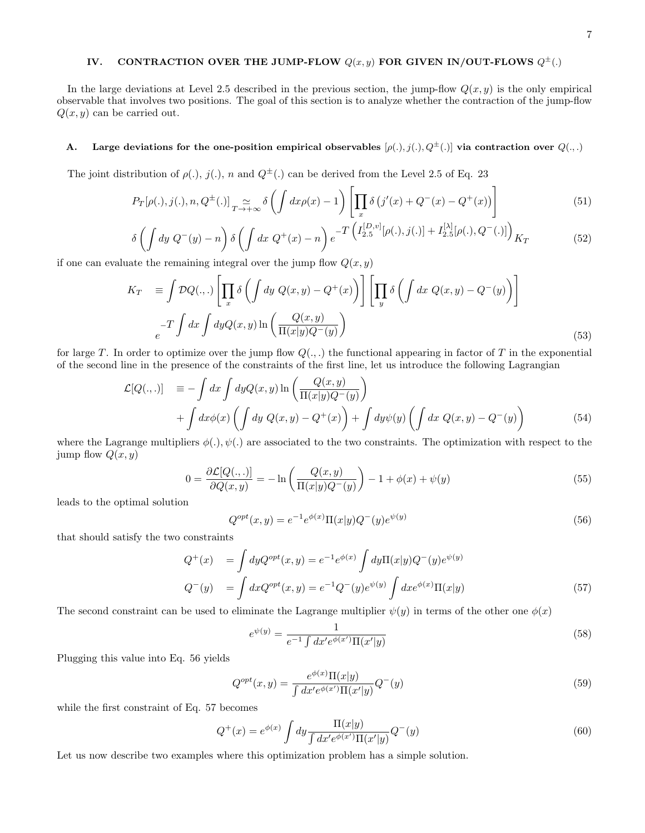# IV. CONTRACTION OVER THE JUMP-FLOW  $Q(x,y)$  FOR GIVEN IN/OUT-FLOWS  $Q^{\pm}(.)$

In the large deviations at Level 2.5 described in the previous section, the jump-flow  $Q(x, y)$  is the only empirical observable that involves two positions. The goal of this section is to analyze whether the contraction of the jump-flow  $Q(x, y)$  can be carried out.

# A. Large deviations for the one-position empirical observables  $[\rho(.)$ ,  $j(.)$ ,  $Q^{\pm}(.)$  via contraction over  $Q(.,.)$

The joint distribution of  $\rho(.)$ ,  $j(.)$ , n and  $Q^{\pm}(.)$  can be derived from the Level 2.5 of Eq. 23

$$
P_T[\rho(.), j(.), n, Q^{\pm}(.)] \underset{T \to +\infty}{\simeq} \delta\left(\int dx \rho(x) - 1\right) \left[\prod_x \delta\left(j'(x) + Q^-(x) - Q^+(x)\right)\right] \tag{51}
$$

$$
\delta \left( \int dy \ Q^{-}(y) - n \right) \delta \left( \int dx \ Q^{+}(x) - n \right) e^{-T \left( I_{2.5}^{[D,v]}[\rho(.),j(.)] + I_{2.5}^{[\lambda]}[\rho(.),Q^{-}(.)] \right)} K_{T}
$$
(52)

if one can evaluate the remaining integral over the jump flow  $Q(x, y)$ 

$$
K_T = \int \mathcal{D}Q(.,.) \left[ \prod_x \delta \left( \int dy \ Q(x,y) - Q^+(x) \right) \right] \left[ \prod_y \delta \left( \int dx \ Q(x,y) - Q^-(y) \right) \right]
$$
  

$$
-T \int dx \int dy Q(x,y) \ln \left( \frac{Q(x,y)}{\Pi(x|y)Q^-(y)} \right)
$$
(53)

for large T. In order to optimize over the jump flow  $Q(.,.)$  the functional appearing in factor of T in the exponential of the second line in the presence of the constraints of the first line, let us introduce the following Lagrangian

$$
\mathcal{L}[Q(.,.)] \equiv -\int dx \int dy Q(x,y) \ln \left( \frac{Q(x,y)}{\Pi(x|y)Q^-(y)} \right) + \int dx \phi(x) \left( \int dy Q(x,y) - Q^+(x) \right) + \int dy \psi(y) \left( \int dx Q(x,y) - Q^-(y) \right)
$$
\n(54)

where the Lagrange multipliers  $\phi(.)$ ,  $\psi(.)$  are associated to the two constraints. The optimization with respect to the jump flow  $Q(x, y)$ 

$$
0 = \frac{\partial \mathcal{L}[Q(.,.)]}{\partial Q(x,y)} = -\ln\left(\frac{Q(x,y)}{\Pi(x|y)Q^-(y)}\right) - 1 + \phi(x) + \psi(y)
$$
\n
$$
(55)
$$

leads to the optimal solution

$$
Q^{opt}(x,y) = e^{-1}e^{\phi(x)}\Pi(x|y)Q^{-}(y)e^{\psi(y)}
$$
\n(56)

that should satisfy the two constraints

$$
Q^{+}(x) = \int dy Q^{opt}(x, y) = e^{-1} e^{\phi(x)} \int dy \Pi(x|y) Q^{-}(y) e^{\psi(y)}
$$
  
\n
$$
Q^{-}(y) = \int dx Q^{opt}(x, y) = e^{-1} Q^{-}(y) e^{\psi(y)} \int dx e^{\phi(x)} \Pi(x|y)
$$
\n(57)

The second constraint can be used to eliminate the Lagrange multiplier  $\psi(y)$  in terms of the other one  $\phi(x)$ 

$$
e^{\psi(y)} = \frac{1}{e^{-1} \int dx' e^{\phi(x')} \Pi(x'|y)}
$$
(58)

Plugging this value into Eq. 56 yields

$$
Q^{opt}(x,y) = \frac{e^{\phi(x)}\Pi(x|y)}{\int dx' e^{\phi(x')}\Pi(x'|y)} Q^{-}(y)
$$
\n(59)

while the first constraint of Eq. 57 becomes

$$
Q^{+}(x) = e^{\phi(x)} \int dy \frac{\Pi(x|y)}{\int dx' e^{\phi(x')} \Pi(x'|y)} Q^{-}(y)
$$
\n(60)

Let us now describe two examples where this optimization problem has a simple solution.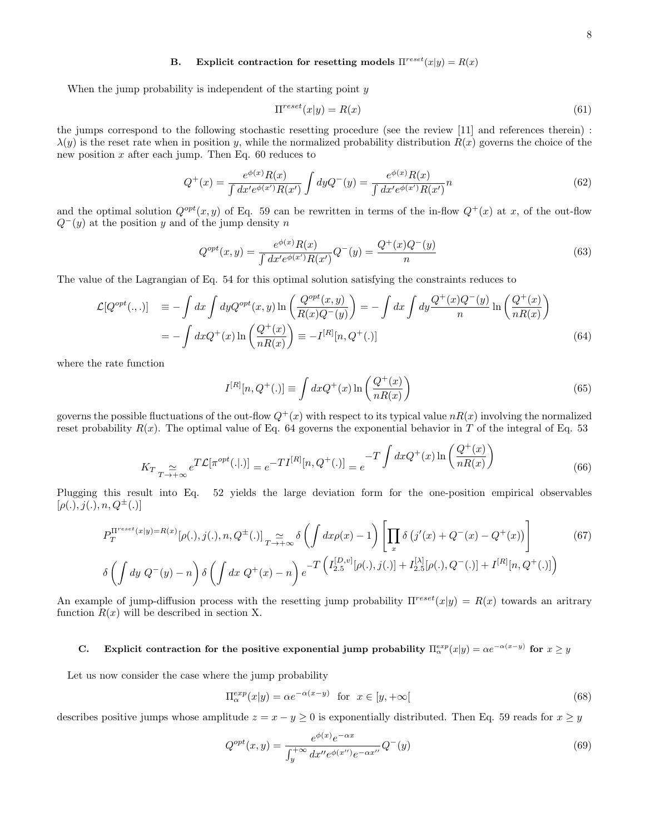## B. Explicit contraction for resetting models  $\Pi^{reset}(x|y) = R(x)$

When the jump probability is independent of the starting point  $y$ 

$$
\Pi^{reset}(x|y) = R(x) \tag{61}
$$

the jumps correspond to the following stochastic resetting procedure (see the review [11] and references therein) :  $\lambda(y)$  is the reset rate when in position y, while the normalized probability distribution  $R(x)$  governs the choice of the new position  $x$  after each jump. Then Eq. 60 reduces to

$$
Q^{+}(x) = \frac{e^{\phi(x)}R(x)}{\int dx' e^{\phi(x')}R(x')} \int dy Q^{-}(y) = \frac{e^{\phi(x)}R(x)}{\int dx' e^{\phi(x')}R(x')}n
$$
(62)

and the optimal solution  $Q^{opt}(x, y)$  of Eq. 59 can be rewritten in terms of the in-flow  $Q^+(x)$  at x, of the out-flow  $Q^-(y)$  at the position y and of the jump density n

$$
Q^{opt}(x,y) = \frac{e^{\phi(x)}R(x)}{\int dx' e^{\phi(x')}R(x')}Q^{-}(y) = \frac{Q^{+}(x)Q^{-}(y)}{n}
$$
\n(63)

The value of the Lagrangian of Eq. 54 for this optimal solution satisfying the constraints reduces to

$$
\mathcal{L}[Q^{opt}(.,.)] \equiv -\int dx \int dy Q^{opt}(x, y) \ln\left(\frac{Q^{opt}(x, y)}{R(x)Q^{-}(y)}\right) = -\int dx \int dy \frac{Q^{+}(x)Q^{-}(y)}{n} \ln\left(\frac{Q^{+}(x)}{nR(x)}\right)
$$

$$
= -\int dx Q^{+}(x) \ln\left(\frac{Q^{+}(x)}{nR(x)}\right) \equiv -I^{[R]}[n, Q^{+}(.)] \tag{64}
$$

where the rate function

$$
I^{[R]}[n, Q^{+}(.)] \equiv \int dx Q^{+}(x) \ln \left(\frac{Q^{+}(x)}{nR(x)}\right)
$$
\n
$$
(65)
$$

governs the possible fluctuations of the out-flow  $Q^+(x)$  with respect to its typical value  $nR(x)$  involving the normalized reset probability  $R(x)$ . The optimal value of Eq. 64 governs the exponential behavior in T of the integral of Eq. 53

$$
K_{T} \underset{T \to +\infty}{\simeq} e^{T\mathcal{L}[\pi^{opt}(.|.)]} = e^{-T I^{[R]}[n, Q^{+}(.)]} = e^{-T \int dx Q^{+}(x) \ln\left(\frac{Q^{+}(x)}{nR(x)}\right)}
$$
(66)

Plugging this result into Eq. 52 yields the large deviation form for the one-position empirical observables  $[\rho(.)$ ,  $j(.)$ ,  $n, Q^{\pm}(.)$ ]

$$
P_T^{\Pi^{reset}(x|y)=R(x)}[\rho(.), j(.), n, Q^{\pm}(.)]_{T \to +\infty} \delta\left(\int dx \rho(x) - 1\right) \left[\prod_x \delta\left(j'(x) + Q^-(x) - Q^+(x)\right)\right]
$$
(67)  

$$
\delta\left(\int dy \ Q^-(y) - n\right) \delta\left(\int dx \ Q^+(x) - n\right) e^{-T\left(I_{2.5}^{[D,v]}[\rho(.), j(.)]\right) + I_{2.5}^{[\lambda]}[\rho(.), Q^-(.)] + I^{[R]}[n, Q^+(.)]\right)
$$

An example of jump-diffusion process with the resetting jump probability  $\Pi^{reset}(x|y) = R(x)$  towards an aritrary function  $R(x)$  will be described in section X.

# C. Explicit contraction for the positive exponential jump probability  $\Pi_{\alpha}^{exp}(x|y) = \alpha e^{-\alpha(x-y)}$  for  $x \ge y$

Let us now consider the case where the jump probability

$$
\Pi_{\alpha}^{exp}(x|y) = \alpha e^{-\alpha(x-y)} \quad \text{for} \quad x \in [y, +\infty[ \tag{68}
$$

describes positive jumps whose amplitude  $z = x - y \ge 0$  is exponentially distributed. Then Eq. 59 reads for  $x \ge y$ 

$$
Q^{opt}(x,y) = \frac{e^{\phi(x)}e^{-\alpha x}}{\int_{y}^{+\infty} dx'' e^{\phi(x'')} e^{-\alpha x''}} Q^{-}(y)
$$
(69)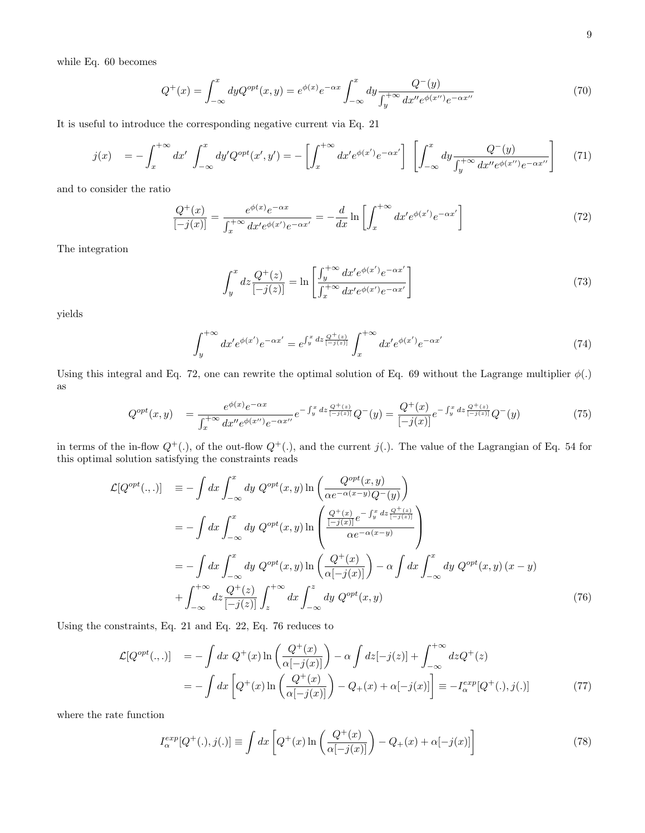while Eq. 60 becomes

$$
Q^{+}(x) = \int_{-\infty}^{x} dy Q^{opt}(x, y) = e^{\phi(x)} e^{-\alpha x} \int_{-\infty}^{x} dy \frac{Q^{-}(y)}{\int_{y}^{+\infty} dx'' e^{\phi(x'')} e^{-\alpha x''}}
$$
(70)

It is useful to introduce the corresponding negative current via Eq. 21

$$
j(x) = -\int_{x}^{+\infty} dx' \int_{-\infty}^{x} dy' Q^{opt}(x', y') = -\left[\int_{x}^{+\infty} dx' e^{\phi(x')} e^{-\alpha x'}\right] \left[\int_{-\infty}^{x} dy \frac{Q^{-}(y)}{\int_{y}^{+\infty} dx'' e^{\phi(x'')} e^{-\alpha x''}}\right] \tag{71}
$$

and to consider the ratio

$$
\frac{Q^{+}(x)}{[-j(x)]} = \frac{e^{\phi(x)}e^{-\alpha x}}{\int_{x}^{+\infty} dx' e^{\phi(x')}e^{-\alpha x'}} = -\frac{d}{dx}\ln\left[\int_{x}^{+\infty} dx' e^{\phi(x')}e^{-\alpha x'}\right]
$$
(72)

The integration

$$
\int_{y}^{x} dz \frac{Q^{+}(z)}{\left[-j(z)\right]} = \ln\left[\frac{\int_{y}^{+\infty} dx' e^{\phi(x')} e^{-\alpha x'}}{\int_{x}^{+\infty} dx' e^{\phi(x')} e^{-\alpha x'}}\right]
$$
\n(73)

yields

$$
\int_{y}^{+\infty} dx' e^{\phi(x')} e^{-\alpha x'} = e^{\int_{y}^{x} dz \frac{Q^{+}(z)}{[-j(z)]}} \int_{x}^{+\infty} dx' e^{\phi(x')} e^{-\alpha x'}
$$
\n(74)

Using this integral and Eq. 72, one can rewrite the optimal solution of Eq. 69 without the Lagrange multiplier  $\phi(.)$ as

$$
Q^{opt}(x,y) = \frac{e^{\phi(x)}e^{-\alpha x}}{\int_x^{+\infty} dx''e^{\phi(x'')}e^{-\alpha x''}}e^{-\int_y^x dz \frac{Q^+(z)}{[-j(z)]}}Q^-(y) = \frac{Q^+(x)}{[-j(x)]}e^{-\int_y^x dz \frac{Q^+(z)}{[-j(z)]}}Q^-(y)
$$
(75)

in terms of the in-flow  $Q^+(\cdot)$ , of the out-flow  $Q^+(\cdot)$ , and the current  $j(\cdot)$ . The value of the Lagrangian of Eq. 54 for this optimal solution satisfying the constraints reads

$$
\mathcal{L}[Q^{opt}(.,.)] \equiv -\int dx \int_{-\infty}^{x} dy Q^{opt}(x, y) \ln \left( \frac{Q^{opt}(x, y)}{\alpha e^{-\alpha(x-y)}Q^{-}(y)} \right)
$$
  
\n
$$
= -\int dx \int_{-\infty}^{x} dy Q^{opt}(x, y) \ln \left( \frac{\frac{Q^{+}(x)}{[-j(x)]}e^{-\int_{y}^{x}dz \frac{Q^{+}(z)}{[-j(x)]}}}{\alpha e^{-\alpha(x-y)}} \right)
$$
  
\n
$$
= -\int dx \int_{-\infty}^{x} dy Q^{opt}(x, y) \ln \left( \frac{Q^{+}(x)}{\alpha[-j(x)]} \right) - \alpha \int dx \int_{-\infty}^{x} dy Q^{opt}(x, y) (x - y)
$$
  
\n
$$
+ \int_{-\infty}^{+\infty} dz \frac{Q^{+}(z)}{[-j(z)]} \int_{z}^{+\infty} dx \int_{-\infty}^{z} dy Q^{opt}(x, y)
$$
(76)

Using the constraints, Eq. 21 and Eq. 22, Eq. 76 reduces to

$$
\mathcal{L}[Q^{opt}(.,.)] = -\int dx \ Q^+(x) \ln\left(\frac{Q^+(x)}{\alpha[-j(x)]}\right) - \alpha \int dz [-j(z)] + \int_{-\infty}^{+\infty} dz Q^+(z)
$$

$$
= -\int dx \left[Q^+(x) \ln\left(\frac{Q^+(x)}{\alpha[-j(x)]}\right) - Q_+(x) + \alpha[-j(x)]\right] \equiv -I_{\alpha}^{exp}[Q^+(.),j(.)] \tag{77}
$$

where the rate function

$$
I_{\alpha}^{exp}[Q^{+}(.) , j(.)] \equiv \int dx \left[ Q^{+}(x) \ln \left( \frac{Q^{+}(x)}{\alpha[-j(x)]} \right) - Q_{+}(x) + \alpha[-j(x)] \right]
$$
(78)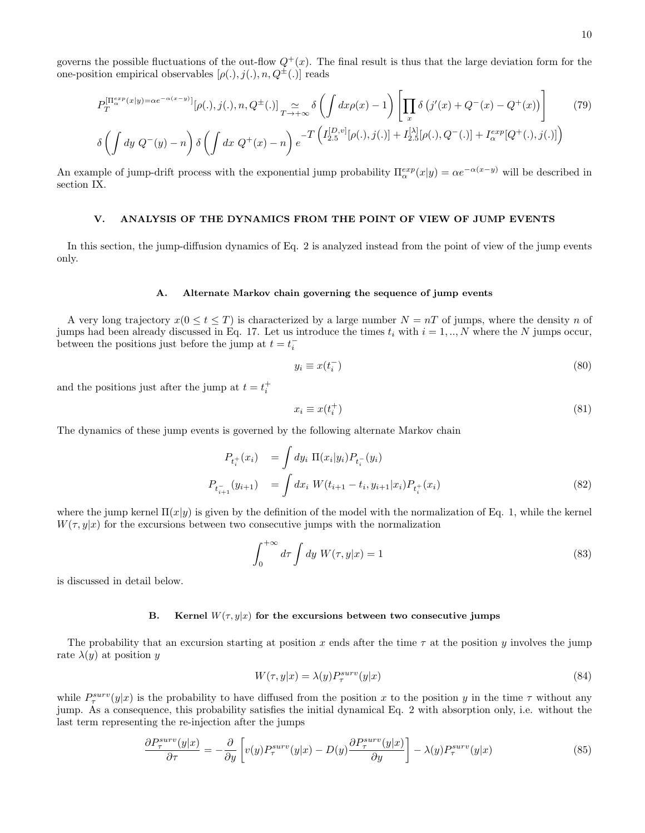governs the possible fluctuations of the out-flow  $Q^+(x)$ . The final result is thus that the large deviation form for the one-position empirical observables  $[\rho(.)$ ,  $j(.)$ ,  $n$ ,  $Q^{\pm}(.)$  reads

$$
P_T^{[\Pi_{\alpha}^{exp}(x|y)=\alpha e^{-\alpha(x-y)}]}[\rho(.),j(.),n,Q^{\pm}(.)]\sum_{T\to+\infty}\delta\left(\int dx\rho(x)-1\right)\left[\prod_x\delta\left(j'(x)+Q^-(x)-Q^+(x)\right)\right]
$$
(79)  

$$
\delta\left(\int dy\ Q^-(y)-n\right)\delta\left(\int dx\ Q^+(x)-n\right)e^{-T\left(I_{2.5}^{[D,v]}[\rho(.),j(.)]+I_{2.5}^{[\lambda]}[\rho(.),Q^-(.)]+I_{\alpha}^{exp}[Q^+(.),j(.)]\right)
$$

An example of jump-drift process with the exponential jump probability  $\Pi_{\alpha}^{exp}(x|y) = \alpha e^{-\alpha(x-y)}$  will be described in section IX.

#### V. ANALYSIS OF THE DYNAMICS FROM THE POINT OF VIEW OF JUMP EVENTS

In this section, the jump-diffusion dynamics of Eq. 2 is analyzed instead from the point of view of the jump events only.

#### A. Alternate Markov chain governing the sequence of jump events

A very long trajectory  $x(0 \le t \le T)$  is characterized by a large number  $N = nT$  of jumps, where the density n of jumps had been already discussed in Eq. 17. Let us introduce the times  $t_i$  with  $i = 1, ..., N$  where the N jumps occur, between the positions just before the jump at  $t = t_i^-$ 

$$
y_i \equiv x(t_i^-) \tag{80}
$$

and the positions just after the jump at  $t = t_i^+$ 

$$
x_i \equiv x(t_i^+) \tag{81}
$$

The dynamics of these jump events is governed by the following alternate Markov chain

$$
P_{t_i^+}(x_i) = \int dy_i \, \Pi(x_i|y_i) P_{t_i^-}(y_i)
$$
  
\n
$$
P_{t_{i+1}^-}(y_{i+1}) = \int dx_i \, W(t_{i+1} - t_i, y_{i+1}|x_i) P_{t_i^+}(x_i)
$$
\n(82)

where the jump kernel  $\Pi(x|y)$  is given by the definition of the model with the normalization of Eq. 1, while the kernel  $W(\tau, y|x)$  for the excursions between two consecutive jumps with the normalization

$$
\int_0^{+\infty} d\tau \int dy \ W(\tau, y|x) = 1 \tag{83}
$$

is discussed in detail below.

#### B. Kernel  $W(\tau, y|x)$  for the excursions between two consecutive jumps

The probability that an excursion starting at position x ends after the time  $\tau$  at the position y involves the jump rate  $\lambda(y)$  at position y

$$
W(\tau, y|x) = \lambda(y) P_{\tau}^{surv}(y|x)
$$
\n(84)

while  $P_{\tau}^{surv}(y|x)$  is the probability to have diffused from the position x to the position y in the time  $\tau$  without any jump. As a consequence, this probability satisfies the initial dynamical Eq. 2 with absorption only, i.e. without the last term representing the re-injection after the jumps

$$
\frac{\partial P_{\tau}^{surv}(y|x)}{\partial \tau} = -\frac{\partial}{\partial y} \left[ v(y) P_{\tau}^{surv}(y|x) - D(y) \frac{\partial P_{\tau}^{surv}(y|x)}{\partial y} \right] - \lambda(y) P_{\tau}^{surv}(y|x) \tag{85}
$$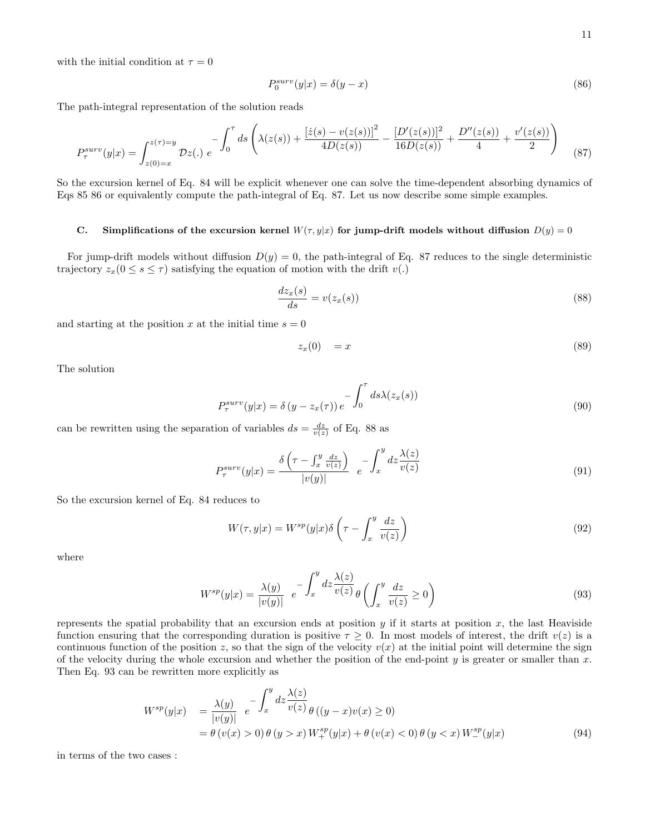with the initial condition at  $\tau = 0$ 

$$
P_0^{surv}(y|x) = \delta(y - x) \tag{86}
$$

The path-integral representation of the solution reads

$$
P_{\tau}^{surv}(y|x) = \int_{z(0)=x}^{z(\tau)=y} \mathcal{D}z(.) e^{-\int_0^{\tau} ds \left(\lambda(z(s)) + \frac{[\dot{z}(s) - v(z(s))]^2}{4D(z(s))} - \frac{[D'(z(s))]^2}{16D(z(s))} + \frac{D''(z(s))}{4} + \frac{v'(z(s))}{2}\right)}
$$
(87)

So the excursion kernel of Eq. 84 will be explicit whenever one can solve the time-dependent absorbing dynamics of Eqs 85 86 or equivalently compute the path-integral of Eq. 87. Let us now describe some simple examples.

## C. Simplifications of the excursion kernel  $W(\tau, y|x)$  for jump-drift models without diffusion  $D(y) = 0$

For jump-drift models without diffusion  $D(y) = 0$ , the path-integral of Eq. 87 reduces to the single deterministic trajectory  $z_x(0 \leq s \leq \tau)$  satisfying the equation of motion with the drift  $v(.)$ 

$$
\frac{dz_x(s)}{ds} = v(z_x(s))\tag{88}
$$

and starting at the position x at the initial time  $s = 0$ 

$$
z_x(0) = x \tag{89}
$$

The solution

$$
P_{\tau}^{surv}(y|x) = \delta(y - z_x(\tau)) e^{-\int_0^{\tau} ds \lambda(z_x(s))}
$$
\n(90)

can be rewritten using the separation of variables  $ds = \frac{dz}{v(z)}$  of Eq. 88 as

$$
P_{\tau}^{surv}(y|x) = \frac{\delta\left(\tau - \int_{x}^{y} \frac{dz}{v(z)}\right)}{|v(y)|} e^{-\int_{x}^{y} dz \frac{\lambda(z)}{v(z)}}
$$
(91)

So the excursion kernel of Eq. 84 reduces to

$$
W(\tau, y|x) = W^{sp}(y|x)\delta\left(\tau - \int_{x}^{y} \frac{dz}{v(z)}\right)
$$
\n(92)

where

$$
W^{sp}(y|x) = \frac{\lambda(y)}{|v(y)|} e^{-\int_x^y dz \frac{\lambda(z)}{v(z)}} \theta \left( \int_x^y \frac{dz}{v(z)} \ge 0 \right)
$$
\n(93)

represents the spatial probability that an excursion ends at position  $y$  if it starts at position  $x$ , the last Heaviside function ensuring that the corresponding duration is positive  $\tau \geq 0$ . In most models of interest, the drift  $v(z)$  is a continuous function of the position z, so that the sign of the velocity  $v(x)$  at the initial point will determine the sign of the velocity during the whole excursion and whether the position of the end-point  $y$  is greater or smaller than  $x$ . Then Eq. 93 can be rewritten more explicitly as

$$
W^{sp}(y|x) = \frac{\lambda(y)}{|v(y)|} e^{-\int_x^y dz \frac{\lambda(z)}{v(z)} \theta ((y-x)v(x) \ge 0)}
$$
  
=  $\theta (v(x) > 0) \theta (y > x) W_+^{sp}(y|x) + \theta (v(x) < 0) \theta (y < x) W_-^{sp}(y|x)$  (94)

in terms of the two cases :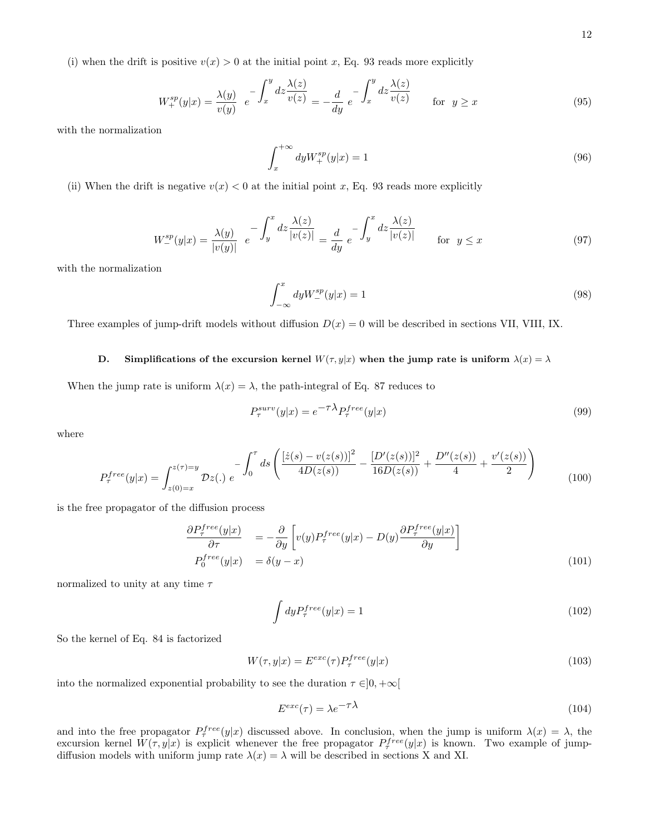$$
W_{+}^{sp}(y|x) = \frac{\lambda(y)}{v(y)} e^{-\int_{x}^{y} dz \frac{\lambda(z)}{v(z)}} = -\frac{d}{dy} e^{-\int_{x}^{y} dz \frac{\lambda(z)}{v(z)}} \quad \text{for } y \ge x
$$
 (95)

with the normalization

$$
\int_{x}^{+\infty} dy W_{+}^{sp}(y|x) = 1
$$
\n(96)

(ii) When the drift is negative  $v(x) < 0$  at the initial point x, Eq. 93 reads more explicitly

$$
W_{-}^{sp}(y|x) = \frac{\lambda(y)}{|v(y)|} e^{-\int_{y}^{x} dz \frac{\lambda(z)}{|v(z)|}} = \frac{d}{dy} e^{-\int_{y}^{x} dz \frac{\lambda(z)}{|v(z)|}} \quad \text{for } y \le x \tag{97}
$$

with the normalization

$$
\int_{-\infty}^{x} dy W_{-}^{sp}(y|x) = 1
$$
\n(98)

Three examples of jump-drift models without diffusion  $D(x) = 0$  will be described in sections VII, VIII, IX.

## D. Simplifications of the excursion kernel  $W(\tau, y|x)$  when the jump rate is uniform  $\lambda(x) = \lambda$

When the jump rate is uniform  $\lambda(x) = \lambda$ , the path-integral of Eq. 87 reduces to

$$
P_{\tau}^{surv}(y|x) = e^{-\tau \lambda} P_{\tau}^{free}(y|x)
$$
\n(99)

where

$$
P_{\tau}^{free}(y|x) = \int_{z(0)=x}^{z(\tau)=y} \mathcal{D}z(.) \ e^{-\int_0^{\tau} ds \left( \frac{\left[ \dot{z}(s) - v(z(s)) \right]^2}{4D(z(s))} - \frac{\left[ D'(z(s)) \right]^2}{16D(z(s))} + \frac{D''(z(s))}{4} + \frac{v'(z(s))}{2} \right)} \tag{100}
$$

is the free propagator of the diffusion process

$$
\frac{\partial P_{\tau}^{free}(y|x)}{\partial \tau} = -\frac{\partial}{\partial y} \left[ v(y) P_{\tau}^{free}(y|x) - D(y) \frac{\partial P_{\tau}^{free}(y|x)}{\partial y} \right]
$$
\n
$$
P_0^{free}(y|x) = \delta(y-x)
$$
\n(101)

normalized to unity at any time  $\tau$ 

$$
\int dy P_{\tau}^{free}(y|x) = 1 \tag{102}
$$

So the kernel of Eq. 84 is factorized

$$
W(\tau, y|x) = E^{exc}(\tau) P^{free}_{\tau}(y|x)
$$
\n(103)

into the normalized exponential probability to see the duration  $\tau \in ]0, +\infty[$ 

$$
E^{exc}(\tau) = \lambda e^{-\tau \lambda} \tag{104}
$$

and into the free propagator  $P^{free}_{\tau}(y|x)$  discussed above. In conclusion, when the jump is uniform  $\lambda(x) = \lambda$ , the excursion kernel  $W(\tau, y|x)$  is explicit whenever the free propagator  $P^{free}_{\tau}(y|x)$  is known. Two example of jumpdiffusion models with uniform jump rate  $\lambda(x) = \lambda$  will be described in sections X and XI.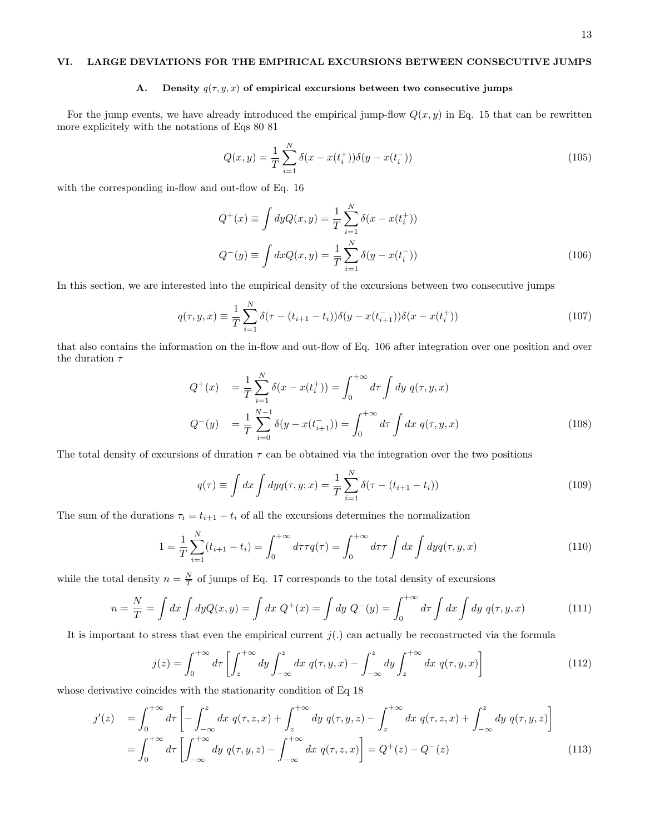## VI. LARGE DEVIATIONS FOR THE EMPIRICAL EXCURSIONS BETWEEN CONSECUTIVE JUMPS

#### A. Density  $q(\tau, y, x)$  of empirical excursions between two consecutive jumps

For the jump events, we have already introduced the empirical jump-flow  $Q(x, y)$  in Eq. 15 that can be rewritten more explicitely with the notations of Eqs 80 81

$$
Q(x,y) = \frac{1}{T} \sum_{i=1}^{N} \delta(x - x(t_i^+)) \delta(y - x(t_i^-))
$$
\n(105)

with the corresponding in-flow and out-flow of Eq. 16

$$
Q^{+}(x) \equiv \int dy Q(x, y) = \frac{1}{T} \sum_{i=1}^{N} \delta(x - x(t_i^{+}))
$$
  

$$
Q^{-}(y) \equiv \int dx Q(x, y) = \frac{1}{T} \sum_{i=1}^{N} \delta(y - x(t_i^{-}))
$$
(106)

In this section, we are interested into the empirical density of the excursions between two consecutive jumps

$$
q(\tau, y, x) \equiv \frac{1}{T} \sum_{i=1}^{N} \delta(\tau - (t_{i+1} - t_i)) \delta(y - x(t_{i+1}^{-})) \delta(x - x(t_i^{+}))
$$
\n(107)

that also contains the information on the in-flow and out-flow of Eq. 106 after integration over one position and over the duration  $\tau$ 

$$
Q^{+}(x) = \frac{1}{T} \sum_{i=1}^{N} \delta(x - x(t_i^{+})) = \int_0^{+\infty} d\tau \int dy \ q(\tau, y, x)
$$
  
\n
$$
Q^{-}(y) = \frac{1}{T} \sum_{i=0}^{N-1} \delta(y - x(t_{i+1}^{-})) = \int_0^{+\infty} d\tau \int dx \ q(\tau, y, x)
$$
\n(108)

The total density of excursions of duration  $\tau$  can be obtained via the integration over the two positions

$$
q(\tau) \equiv \int dx \int dy q(\tau, y; x) = \frac{1}{T} \sum_{i=1}^{N} \delta(\tau - (t_{i+1} - t_i))
$$
\n(109)

The sum of the durations  $\tau_i = t_{i+1} - t_i$  of all the excursions determines the normalization

$$
1 = \frac{1}{T} \sum_{i=1}^{N} (t_{i+1} - t_i) = \int_0^{+\infty} d\tau \tau q(\tau) = \int_0^{+\infty} d\tau \tau \int dx \int dy q(\tau, y, x)
$$
(110)

while the total density  $n = \frac{N}{T}$  of jumps of Eq. 17 corresponds to the total density of excursions

$$
n = \frac{N}{T} = \int dx \int dy Q(x, y) = \int dx \ Q^{+}(x) = \int dy \ Q^{-}(y) = \int_{0}^{+\infty} d\tau \int dx \int dy \ q(\tau, y, x) \tag{111}
$$

It is important to stress that even the empirical current  $j(.)$  can actually be reconstructed via the formula

$$
j(z) = \int_0^{+\infty} d\tau \left[ \int_z^{+\infty} dy \int_{-\infty}^z dx \ q(\tau, y, x) - \int_{-\infty}^z dy \int_z^{+\infty} dx \ q(\tau, y, x) \right]
$$
(112)

whose derivative coincides with the stationarity condition of Eq 18

$$
j'(z) = \int_0^{+\infty} d\tau \left[ -\int_{-\infty}^z dx q(\tau, z, x) + \int_z^{+\infty} dy q(\tau, y, z) - \int_z^{+\infty} dx q(\tau, z, x) + \int_{-\infty}^z dy q(\tau, y, z) \right]
$$
  
= 
$$
\int_0^{+\infty} d\tau \left[ \int_{-\infty}^{+\infty} dy q(\tau, y, z) - \int_{-\infty}^{+\infty} dx q(\tau, z, x) \right] = Q^+(z) - Q^-(z)
$$
(113)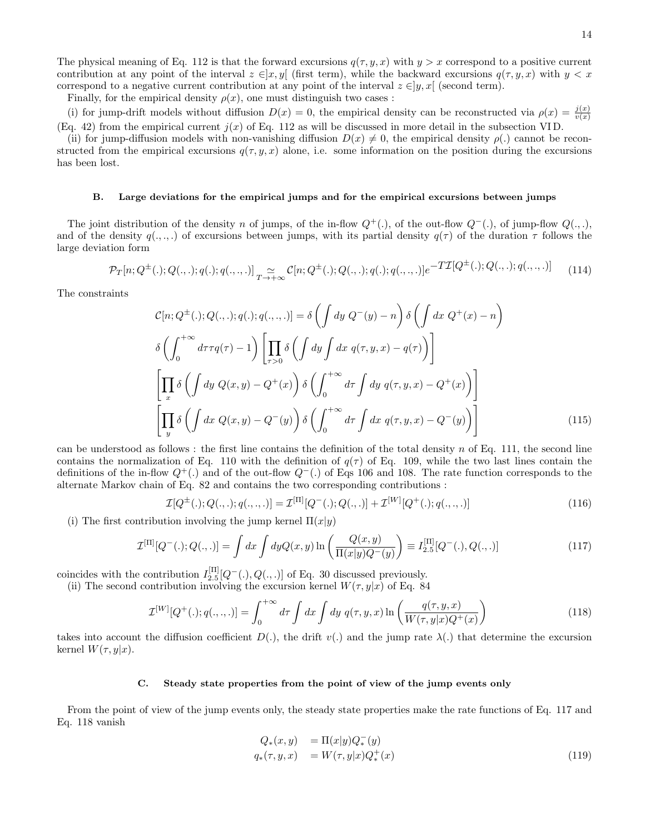The physical meaning of Eq. 112 is that the forward excursions  $q(\tau, y, x)$  with  $y > x$  correspond to a positive current contribution at any point of the interval  $z \in ]x, y[$  (first term), while the backward excursions  $q(\tau, y, x)$  with  $y < x$ correspond to a negative current contribution at any point of the interval  $z \in [y, x]$  (second term).

Finally, for the empirical density  $\rho(x)$ , one must distinguish two cases :

(i) for jump-drift models without diffusion  $D(x) = 0$ , the empirical density can be reconstructed via  $\rho(x) = \frac{j(x)}{v(x)}$ (Eq. 42) from the empirical current  $j(x)$  of Eq. 112 as will be discussed in more detail in the subsection VID.

(ii) for jump-diffusion models with non-vanishing diffusion  $D(x) \neq 0$ , the empirical density  $\rho(.)$  cannot be reconstructed from the empirical excursions  $q(\tau, y, x)$  alone, i.e. some information on the position during the excursions has been lost.

#### B. Large deviations for the empirical jumps and for the empirical excursions between jumps

The joint distribution of the density n of jumps, of the in-flow  $Q^+(\cdot)$ , of the out-flow  $Q^-(\cdot)$ , of jump-flow  $Q(\cdot, \cdot)$ , and of the density  $q(.,.,.)$  of excursions between jumps, with its partial density  $q(\tau)$  of the duration  $\tau$  follows the large deviation form

$$
\mathcal{P}_T[n; Q^{\pm}(.); Q(.,.); q(.); q(.,.,.)] \underset{T \to +\infty}{\simeq} \mathcal{C}[n; Q^{\pm}(.); Q(.,.); q(.); q(.,.,.)] e^{-TT[Q^{\pm}(.); Q(.,.); q(.,.,.)]} \tag{114}
$$

The constraints

$$
\mathcal{C}[n; Q^{\pm}(.); Q(., .); q(.); q(., .,.)] = \delta \left( \int dy Q^{-}(y) - n \right) \delta \left( \int dx Q^{+}(x) - n \right)
$$

$$
\delta \left( \int_{0}^{+\infty} d\tau \tau q(\tau) - 1 \right) \left[ \prod_{\tau > 0} \delta \left( \int dy \int dx q(\tau, y, x) - q(\tau) \right) \right]
$$

$$
\left[ \prod_{x} \delta \left( \int dy Q(x, y) - Q^{+}(x) \right) \delta \left( \int_{0}^{+\infty} d\tau \int dy q(\tau, y, x) - Q^{+}(x) \right) \right]
$$

$$
\left[ \prod_{y} \delta \left( \int dx Q(x, y) - Q^{-}(y) \right) \delta \left( \int_{0}^{+\infty} d\tau \int dx q(\tau, y, x) - Q^{-}(y) \right) \right]
$$
(115)

can be understood as follows : the first line contains the definition of the total density n of Eq. 111, the second line contains the normalization of Eq. 110 with the definition of  $q(\tau)$  of Eq. 109, while the two last lines contain the definitions of the in-flow  $Q^+(\cdot)$  and of the out-flow  $Q^-(.)$  of Eqs 106 and 108. The rate function corresponds to the alternate Markov chain of Eq. 82 and contains the two corresponding contributions :

$$
\mathcal{I}[Q^{\pm}(.); Q(.,.); q(.,.,.)] = \mathcal{I}^{[\Pi]}[Q^-(.); Q(.,.)] + \mathcal{I}^{[W]}[Q^+(.); q(.,.,.)]
$$
\n(116)

(i) The first contribution involving the jump kernel  $\Pi(x|y)$ 

$$
\mathcal{I}^{[\Pi]}[Q^-(.);Q(.,.)] = \int dx \int dy Q(x,y) \ln \left( \frac{Q(x,y)}{\Pi(x|y)Q^-(y)} \right) \equiv I_{2.5}^{[\Pi]}[Q^-(.),Q(.,.)]
$$
(117)

coincides with the contribution  $I_{2.5}^{[\Pi]}[Q^-(.), Q(., .)]$  of Eq. 30 discussed previously.

(ii) The second contribution involving the excursion kernel  $W(\tau, y|x)$  of Eq. 84

$$
\mathcal{I}^{[W]}[Q^+(\cdot);q(.,.,.)] = \int_0^{+\infty} d\tau \int dx \int dy \ q(\tau,y,x) \ln\left(\frac{q(\tau,y,x)}{W(\tau,y|x)Q^+(x)}\right) \tag{118}
$$

takes into account the diffusion coefficient  $D(.)$ , the drift  $v(.)$  and the jump rate  $\lambda(.)$  that determine the excursion kernel  $W(\tau, y|x)$ .

#### C. Steady state properties from the point of view of the jump events only

From the point of view of the jump events only, the steady state properties make the rate functions of Eq. 117 and Eq. 118 vanish

$$
Q_*(x, y) = \Pi(x|y)Q_*^-(y)
$$
  
\n
$$
q_*(\tau, y, x) = W(\tau, y|x)Q_*^+(x)
$$
\n(119)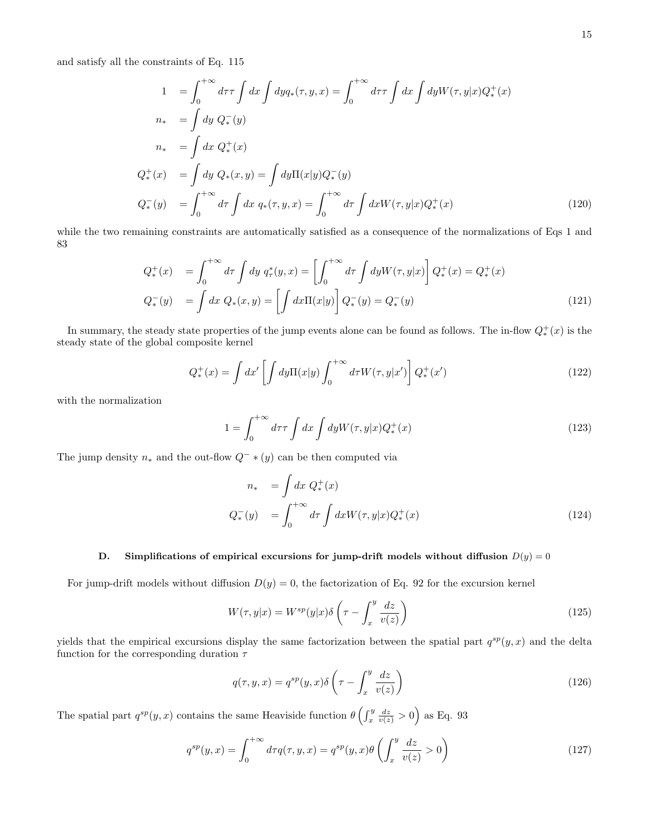and satisfy all the constraints of Eq. 115

$$
1 = \int_0^{+\infty} d\tau \tau \int dx \int dy q_*(\tau, y, x) = \int_0^{+\infty} d\tau \tau \int dx \int dy W(\tau, y|x) Q_*^+(x)
$$
  
\n
$$
n_* = \int dy Q_*^-(y)
$$
  
\n
$$
n_* = \int dx Q_*^+(x)
$$
  
\n
$$
Q_*^+(x) = \int dy Q_*(x, y) = \int dy \Pi(x|y) Q_*^-(y)
$$
  
\n
$$
Q_*^-(y) = \int_0^{+\infty} d\tau \int dx q_*(\tau, y, x) = \int_0^{+\infty} d\tau \int dx W(\tau, y|x) Q_*^+(x)
$$
\n(120)

while the two remaining constraints are automatically satisfied as a consequence of the normalizations of Eqs 1 and 83

$$
Q_*^+(x) = \int_0^{+\infty} d\tau \int dy \ q_\tau^*(y, x) = \left[ \int_0^{+\infty} d\tau \int dy W(\tau, y|x) \right] Q_*^+(x) = Q_*^+(x)
$$
  

$$
Q_*^-(y) = \int dx \ Q_*(x, y) = \left[ \int dx \Pi(x|y) \right] Q_*^-(y) = Q_*^-(y)
$$
 (121)

In summary, the steady state properties of the jump events alone can be found as follows. The in-flow  $Q^+_*(x)$  is the steady state of the global composite kernel

$$
Q_*^+(x) = \int dx' \left[ \int dy \Pi(x|y) \int_0^{+\infty} d\tau W(\tau, y|x') \right] Q_*^+(x')
$$
\n(122)

with the normalization

$$
1 = \int_0^{+\infty} d\tau \mathcal{T} \int dx \int dy W(\tau, y|x) Q_*^+(x)
$$
\n(123)

The jump density  $n_*$  and the out-flow  $Q^- * (y)$  can be then computed via

$$
n_* = \int dx Q_*^+(x)
$$
  
\n
$$
Q_*^-(y) = \int_0^{+\infty} d\tau \int dx W(\tau, y|x) Q_*^+(x)
$$
\n(124)

# D. Simplifications of empirical excursions for jump-drift models without diffusion  $D(y) = 0$

For jump-drift models without diffusion  $D(y) = 0$ , the factorization of Eq. 92 for the excursion kernel

$$
W(\tau, y|x) = W^{sp}(y|x)\delta\left(\tau - \int_{x}^{y} \frac{dz}{v(z)}\right)
$$
\n(125)

yields that the empirical excursions display the same factorization between the spatial part  $q^{sp}(y, x)$  and the delta function for the corresponding duration  $\tau$ 

$$
q(\tau, y, x) = q^{sp}(y, x)\delta\left(\tau - \int_x^y \frac{dz}{v(z)}\right)
$$
\n(126)

The spatial part  $q^{sp}(y, x)$  contains the same Heaviside function  $\theta \left( \int_x^y \frac{dz}{v(z)} > 0 \right)$  as Eq. 93

$$
q^{sp}(y,x) = \int_0^{+\infty} d\tau q(\tau,y,x) = q^{sp}(y,x)\theta\left(\int_x^y \frac{dz}{v(z)} > 0\right)
$$
\n(127)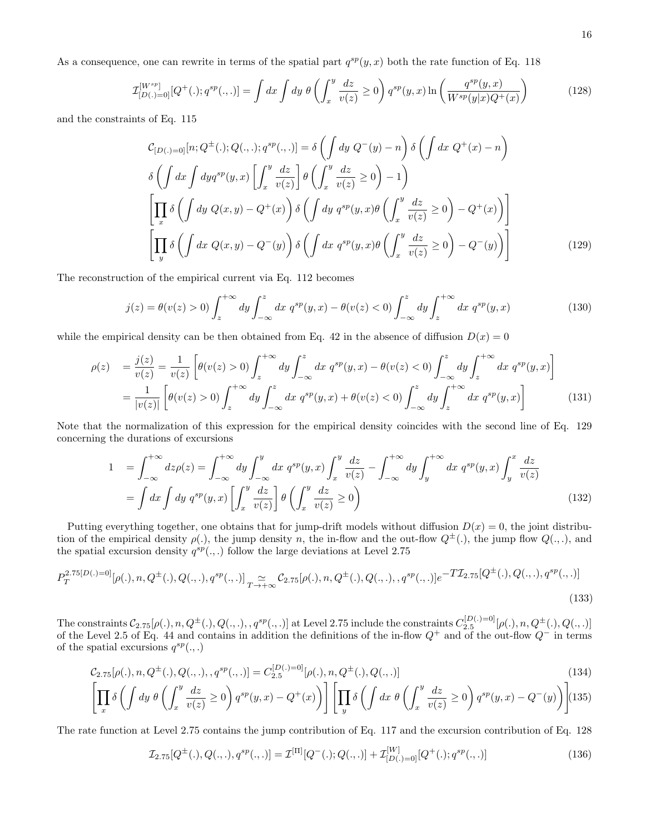As a consequence, one can rewrite in terms of the spatial part  $q^{sp}(y, x)$  both the rate function of Eq. 118

$$
\mathcal{I}_{[D(.)=0]}^{[W^{sp}]}[Q^+(\cdot);q^{sp}(\cdot,\cdot)]=\int dx \int dy \ \theta\left(\int_x^y \frac{dz}{v(z)} \ge 0\right) q^{sp}(y,x) \ln\left(\frac{q^{sp}(y,x)}{W^{sp}(y|x)Q^+(x)}\right) \tag{128}
$$

and the constraints of Eq. 115

$$
\mathcal{C}_{[D(.)=0]}[n; Q^{\pm}(.); Q(., .); q^{sp}(., .)] = \delta \left( \int dy \ Q^{-}(y) - n \right) \delta \left( \int dx \ Q^{+}(x) - n \right)
$$

$$
\delta \left( \int dx \int dy q^{sp}(y, x) \left[ \int_x^y \frac{dz}{v(z)} \right] \theta \left( \int_x^y \frac{dz}{v(z)} \ge 0 \right) - 1 \right)
$$

$$
\left[ \prod_x \delta \left( \int dy \ Q(x, y) - Q^{+}(x) \right) \delta \left( \int dy \ q^{sp}(y, x) \theta \left( \int_x^y \frac{dz}{v(z)} \ge 0 \right) - Q^{+}(x) \right) \right]
$$

$$
\left[ \prod_y \delta \left( \int dx \ Q(x, y) - Q^{-}(y) \right) \delta \left( \int dx \ q^{sp}(y, x) \theta \left( \int_x^y \frac{dz}{v(z)} \ge 0 \right) - Q^{-}(y) \right) \right]
$$
(129)

The reconstruction of the empirical current via Eq. 112 becomes

$$
j(z) = \theta(v(z) > 0) \int_{z}^{+\infty} dy \int_{-\infty}^{z} dx q^{sp}(y, x) - \theta(v(z) < 0) \int_{-\infty}^{z} dy \int_{z}^{+\infty} dx q^{sp}(y, x)
$$
(130)

while the empirical density can be then obtained from Eq. 42 in the absence of diffusion  $D(x) = 0$ 

$$
\rho(z) = \frac{j(z)}{v(z)} = \frac{1}{v(z)} \left[ \theta(v(z) > 0) \int_z^{+\infty} dy \int_{-\infty}^z dx q^{sp}(y, x) - \theta(v(z) < 0) \int_{-\infty}^z dy \int_z^{+\infty} dx q^{sp}(y, x) \right]
$$
  
= 
$$
\frac{1}{|v(z)|} \left[ \theta(v(z) > 0) \int_z^{+\infty} dy \int_{-\infty}^z dx q^{sp}(y, x) + \theta(v(z) < 0) \int_{-\infty}^z dy \int_z^{+\infty} dx q^{sp}(y, x) \right]
$$
(131)

Note that the normalization of this expression for the empirical density coincides with the second line of Eq. 129 concerning the durations of excursions

$$
1 = \int_{-\infty}^{+\infty} dz \rho(z) = \int_{-\infty}^{+\infty} dy \int_{-\infty}^{y} dx q^{sp}(y, x) \int_{x}^{y} \frac{dz}{v(z)} - \int_{-\infty}^{+\infty} dy \int_{y}^{+\infty} dx q^{sp}(y, x) \int_{y}^{x} \frac{dz}{v(z)}
$$

$$
= \int dx \int dy q^{sp}(y, x) \left[ \int_{x}^{y} \frac{dz}{v(z)} \right] \theta \left( \int_{x}^{y} \frac{dz}{v(z)} \ge 0 \right)
$$
(132)

Putting everything together, one obtains that for jump-drift models without diffusion  $D(x) = 0$ , the joint distribution of the empirical density  $\rho(.)$ , the jump density n, the in-flow and the out-flow  $Q^{\pm}(.)$ , the jump flow  $Q(.,.)$ , and the spatial excursion density  $q^{sp}(...)$  follow the large deviations at Level 2.75

$$
P_T^{2.75[D(.)=0]}[\rho(.), n, Q^{\pm}(.) , Q(., .), q^{sp}(., .)]_{T \to +\infty}^{\sim} C_{2.75}[\rho(.), n, Q^{\pm}(.) , Q(., .), , q^{sp}(., .)]e^{-T\mathcal{I}_{2.75}[Q^{\pm}(.) , Q(., .), q^{sp}(., .)]}
$$
\n(133)

The constraints  $\mathcal{C}_{2.75}[\rho(.), n, Q^{\pm}(.), Q(.,.), q^{sp}(.,.)]$  at Level 2.75 include the constraints  $C_{2.5}^{[D(.)=0]}[\rho(.), n, Q^{\pm}(.), Q(.,.)]$ of the Level 2.5 of Eq. 44 and contains in addition the definitions of the in-flow  $Q^+$  and of the out-flow  $Q^-$  in terms of the spatial excursions  $q^{sp}(.,.)$ 

$$
C_{2.75}[\rho(.), n, Q^{\pm}(.) , Q(., .), q^{sp}(., .)] = C_{2.5}^{[D(.)-0]}[\rho(.), n, Q^{\pm}(.) , Q(., .)]
$$
\n
$$
\begin{bmatrix} 134 \\ 24 \end{bmatrix}
$$

$$
\left[\prod_{x} \delta\left(\int dy \; \theta\left(\int_{x}^{y} \frac{dz}{v(z)} \ge 0\right) q^{sp}(y,x) - Q^{+}(x)\right)\right] \left[\prod_{y} \delta\left(\int dx \; \theta\left(\int_{x}^{y} \frac{dz}{v(z)} \ge 0\right) q^{sp}(y,x) - Q^{-}(y)\right)\right]
$$
(135)

The rate function at Level 2.75 contains the jump contribution of Eq. 117 and the excursion contribution of Eq. 128

$$
\mathcal{I}_{2.75}[Q^{\pm}(.),Q(.,.),q^{sp}(.,.)] = \mathcal{I}^{[\Pi]}[Q^-(.);Q(.,.)] + \mathcal{I}^{[W]}_{[D(.)=0]}[Q^+(.),q^{sp}(.,.)] \tag{136}
$$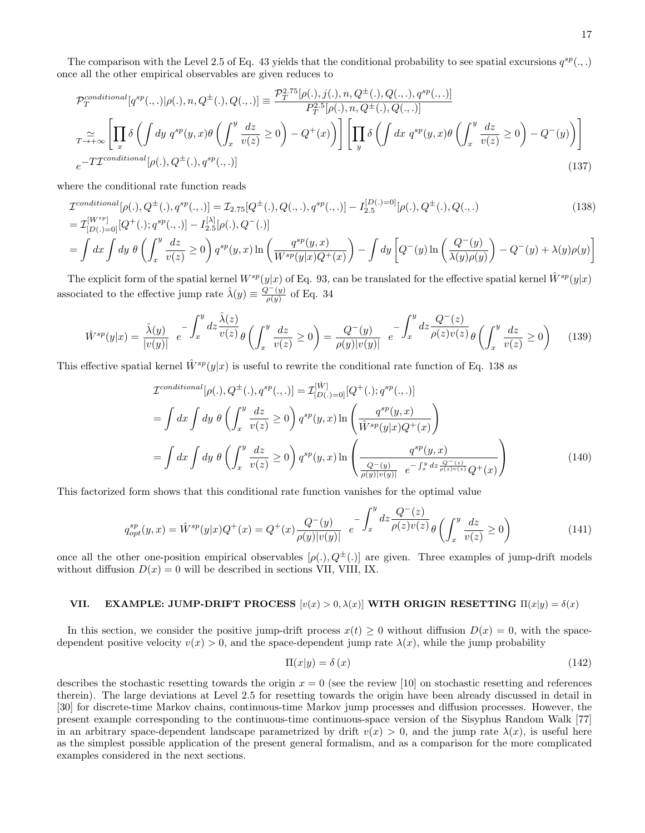The comparison with the Level 2.5 of Eq. 43 yields that the conditional probability to see spatial excursions  $q^{sp}(.,.)$ once all the other empirical observables are given reduces to

$$
\mathcal{P}_{T}^{conditional}[q^{sp}(...)]\rho(.), n, Q^{\pm}(.); Q(., .)] \equiv \frac{\mathcal{P}_{T}^{2.75}[\rho(.), j(.), n, Q^{\pm}(.); Q(., .), q^{sp}(., .)]}{\mathcal{P}_{T}^{2.5}[\rho(.), n, Q^{\pm}(.); Q(., .)]}
$$

$$
\approx \left[\prod_{x} \delta\left(\int dy \ q^{sp}(y, x)\theta\left(\int_{x}^{y} \frac{dz}{v(z)} \ge 0\right) - Q^{+}(x)\right)\right] \left[\prod_{y} \delta\left(\int dx \ q^{sp}(y, x)\theta\left(\int_{x}^{y} \frac{dz}{v(z)} \ge 0\right) - Q^{-}(y)\right)\right]
$$

$$
e^{-T\mathcal{I}^{conditional}[\rho(.), Q^{\pm}(.); q^{sp}(., .)]}
$$
(137)

where the conditional rate function reads

$$
\mathcal{I}^{conditional}[\rho(.), Q^{\pm}(.) , q^{sp}(., .)] = \mathcal{I}_{2.75}[Q^{\pm}(.) , Q(., .), q^{sp}(., .)] - I_{2.5}^{[D(.)=0]}[\rho(.), Q^{\pm}(.) , Q(., .)]
$$
\n
$$
= \mathcal{I}_{[D(.)=0]}^{[W^{sp}]}[Q^+(.) ; q^{sp}(., .)] - I_{2.5}^{[\lambda]}[\rho(.), Q^-(.)]
$$
\n(138)

$$
= \int dx \int dy \; \theta \left( \int_x^y \frac{dz}{v(z)} \ge 0 \right) q^{sp}(y,x) \ln \left( \frac{q^{sp}(y,x)}{W^{sp}(y|x)Q^+(x)} \right) - \int dy \left[ Q^-(y) \ln \left( \frac{Q^-(y)}{\lambda(y)\rho(y)} \right) - Q^-(y) + \lambda(y)\rho(y) \right]
$$

The explicit form of the spatial kernel  $W^{sp}(y|x)$  of Eq. 93, can be translated for the effective spatial kernel  $\hat{W}^{sp}(y|x)$ associated to the effective jump rate  $\hat{\lambda}(y) \equiv \frac{Q^-(y)}{Q(y)}$  $\frac{q(y)}{p(y)}$  of Eq. 34

$$
\hat{W}^{sp}(y|x) = \frac{\hat{\lambda}(y)}{|v(y)|} e^{-\int_x^y dz \frac{\hat{\lambda}(z)}{v(z)} \theta \left( \int_x^y \frac{dz}{v(z)} \ge 0 \right) = \frac{Q^-(y)}{\rho(y)|v(y)|} e^{-\int_x^y dz \frac{Q^-(z)}{\rho(z)v(z)} \theta \left( \int_x^y \frac{dz}{v(z)} \ge 0 \right)} \tag{139}
$$

This effective spatial kernel  $\hat{W}^{sp}(y|x)$  is useful to rewrite the conditional rate function of Eq. 138 as

$$
\mathcal{I}^{conditional}[\rho(.), Q^{\pm}(.) , q^{sp}(., .)] = \mathcal{I}^{[\hat{W}]}_{[D(.)=0]}[Q^{+}(.) ; q^{sp}(., .)]
$$
  
\n
$$
= \int dx \int dy \ \theta \left( \int_x^y \frac{dz}{v(z)} \ge 0 \right) q^{sp}(y, x) \ln \left( \frac{q^{sp}(y, x)}{\hat{W}^{sp}(y|x)Q^{+}(x)} \right)
$$
  
\n
$$
= \int dx \int dy \ \theta \left( \int_x^y \frac{dz}{v(z)} \ge 0 \right) q^{sp}(y, x) \ln \left( \frac{q^{sp}(y, x)}{\frac{Q^{-}(y)}{\rho(y)|v(y)|}} \frac{q^{sp}(y, x)}{e^{-\int_x^y dz \frac{Q^{-}(z)}{\rho(z)v(z)}}Q^{+}(x)} \right)
$$
(140)

This factorized form shows that this conditional rate function vanishes for the optimal value

$$
q_{opt}^{sp}(y,x) = \hat{W}^{sp}(y|x)Q^{+}(x) = Q^{+}(x)\frac{Q^{-}(y)}{\rho(y)|v(y)|} e^{-\int_{x}^{y} dz \frac{Q^{-}(z)}{\rho(z)v(z)}\theta\left(\int_{x}^{y} \frac{dz}{v(z)} \ge 0\right)
$$
(141)

once all the other one-position empirical observables  $[\rho(.)$ ,  $Q^{\pm}(.)$  are given. Three examples of jump-drift models without diffusion  $D(x) = 0$  will be described in sections VII, VIII, IX.

## VII. EXAMPLE: JUMP-DRIFT PROCESS  $[v(x) > 0, \lambda(x)]$  WITH ORIGIN RESETTING  $\Pi(x|y) = \delta(x)$

In this section, we consider the positive jump-drift process  $x(t) \geq 0$  without diffusion  $D(x) = 0$ , with the spacedependent positive velocity  $v(x) > 0$ , and the space-dependent jump rate  $\lambda(x)$ , while the jump probability

$$
\Pi(x|y) = \delta(x) \tag{142}
$$

describes the stochastic resetting towards the origin  $x = 0$  (see the review [10] on stochastic resetting and references therein). The large deviations at Level 2.5 for resetting towards the origin have been already discussed in detail in [30] for discrete-time Markov chains, continuous-time Markov jump processes and diffusion processes. However, the present example corresponding to the continuous-time continuous-space version of the Sisyphus Random Walk [77] in an arbitrary space-dependent landscape parametrized by drift  $v(x) > 0$ , and the jump rate  $\lambda(x)$ , is useful here as the simplest possible application of the present general formalism, and as a comparison for the more complicated examples considered in the next sections.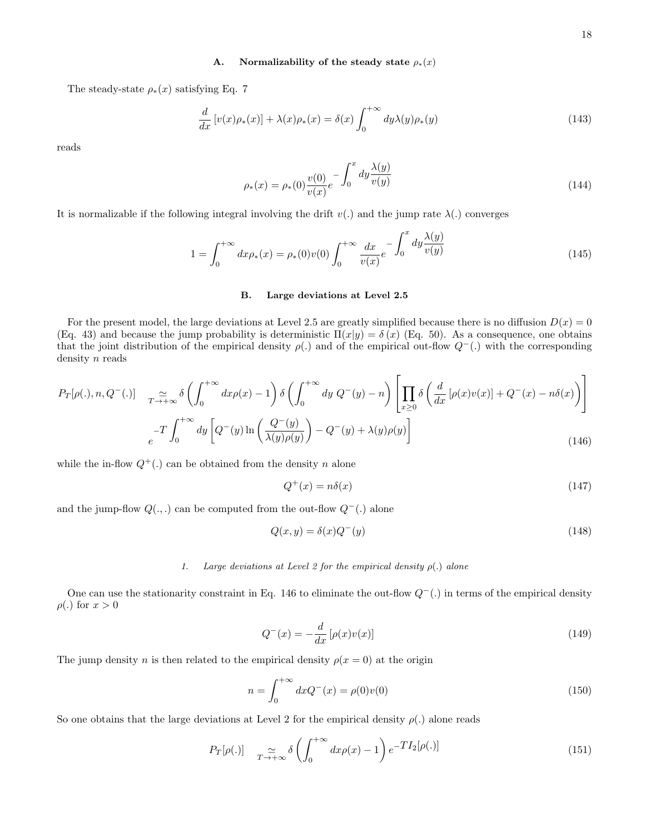## A. Normalizability of the steady state  $\rho_*(x)$

The steady-state  $\rho_*(x)$  satisfying Eq. 7

$$
\frac{d}{dx}\left[v(x)\rho_*(x)\right] + \lambda(x)\rho_*(x) = \delta(x)\int_0^{+\infty} dy\lambda(y)\rho_*(y) \tag{143}
$$

reads

$$
\rho_*(x) = \rho_*(0) \frac{v(0)}{v(x)} e^{-\int_0^x dy \frac{\lambda(y)}{v(y)}}
$$
\n(144)

It is normalizable if the following integral involving the drift  $v(.)$  and the jump rate  $\lambda(.)$  converges

$$
1 = \int_0^{+\infty} dx \rho_*(x) = \rho_*(0)v(0) \int_0^{+\infty} \frac{dx}{v(x)} e^{-\int_0^x dy \frac{\lambda(y)}{v(y)}} \tag{145}
$$

Ē,

## B. Large deviations at Level 2.5

For the present model, the large deviations at Level 2.5 are greatly simplified because there is no diffusion  $D(x) = 0$ (Eq. 43) and because the jump probability is deterministic  $\Pi(x|y) = \delta(x)$  (Eq. 50). As a consequence, one obtains that the joint distribution of the empirical density  $\rho(.)$  and of the empirical out-flow  $Q^-(.)$  with the corresponding density *n* reads

$$
P_T[\rho(.), n, Q^-(.)] \quad \underset{c}{\simeq} \underset{d}{\simeq} \delta\left(\int_0^{+\infty} dx \rho(x) - 1\right) \delta\left(\int_0^{+\infty} dy \ Q^-(y) - n\right) \left[\prod_{x \ge 0} \delta\left(\frac{d}{dx} \left[\rho(x)v(x)\right] + Q^-(x) - n\delta(x)\right)\right]
$$

$$
\int_0^{+\infty} \frac{d}{dx} \left[Q^-(y)\ln\left(\frac{Q^-(y)}{\lambda(y)\rho(y)}\right) - Q^-(y) + \lambda(y)\rho(y)\right] \tag{146}
$$

while the in-flow  $Q^+(.)$  can be obtained from the density n alone

$$
Q^+(x) = n\delta(x) \tag{147}
$$

and the jump-flow  $Q(.,.)$  can be computed from the out-flow  $Q^-(.)$  alone

$$
Q(x, y) = \delta(x)Q^{-}(y)
$$
\n(148)

### 1. Large deviations at Level 2 for the empirical density  $\rho(.)$  alone

One can use the stationarity constraint in Eq. 146 to eliminate the out-flow  $Q^{-}$ (.) in terms of the empirical density  $\rho(.)$  for  $x > 0$ 

$$
Q^{-}(x) = -\frac{d}{dx}\left[\rho(x)v(x)\right] \tag{149}
$$

The jump density n is then related to the empirical density  $\rho(x=0)$  at the origin

$$
n = \int_0^{+\infty} dx Q^{-}(x) = \rho(0)v(0)
$$
\n(150)

So one obtains that the large deviations at Level 2 for the empirical density  $\rho(.)$  alone reads

$$
P_T[\rho(.)] \quad \underset{T \to +\infty}{\simeq} \delta \left( \int_0^{+\infty} dx \rho(x) - 1 \right) e^{-T I_2[\rho(.)]} \tag{151}
$$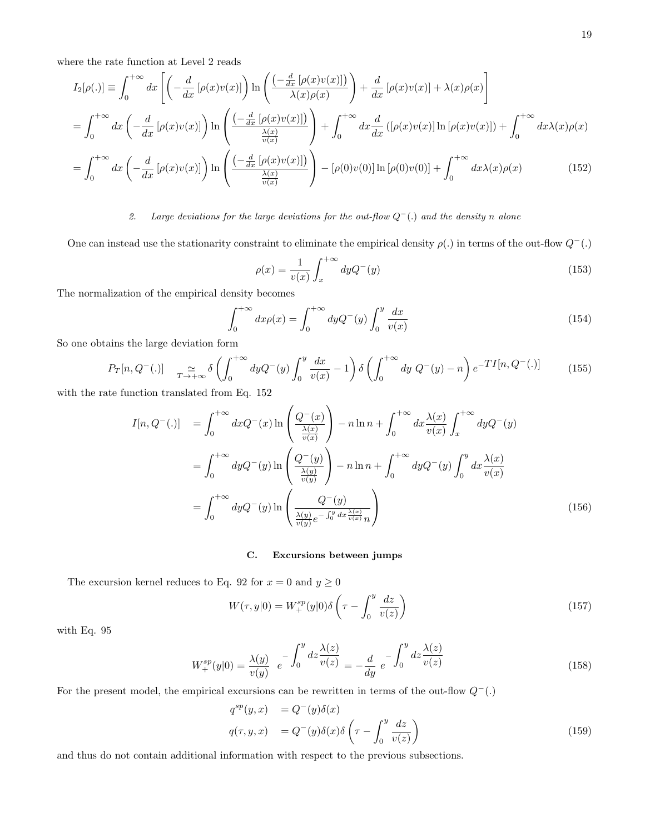where the rate function at Level 2 reads

$$
I_2[\rho(.)] \equiv \int_0^{+\infty} dx \left[ \left( -\frac{d}{dx} \left[ \rho(x)v(x) \right] \right) \ln \left( \frac{\left( -\frac{d}{dx} \left[ \rho(x)v(x) \right] \right)}{\lambda(x)\rho(x)} \right) + \frac{d}{dx} \left[ \rho(x)v(x) \right] + \lambda(x)\rho(x) \right]
$$
  

$$
= \int_0^{+\infty} dx \left( -\frac{d}{dx} \left[ \rho(x)v(x) \right] \right) \ln \left( \frac{\left( -\frac{d}{dx} \left[ \rho(x)v(x) \right] \right)}{\frac{\lambda(x)}{v(x)}} \right) + \int_0^{+\infty} dx \frac{d}{dx} \left( \left[ \rho(x)v(x) \right] \ln \left[ \rho(x)v(x) \right] \right) + \int_0^{+\infty} dx \lambda(x)\rho(x) dx
$$

$$
= \int_0^{+\infty} dx \left( -\frac{d}{dx} \left[ \rho(x)v(x) \right] \right) \ln \left( \frac{\left( -\frac{d}{dx} \left[ \rho(x)v(x) \right] \right)}{\frac{\lambda(x)}{v(x)}} \right) - \left[ \rho(0)v(0) \right] \ln \left[ \rho(0)v(0) \right] + \int_0^{+\infty} dx \lambda(x) \rho(x) \tag{152}
$$

## 2. Large deviations for the large deviations for the out-flow  $Q^{-}$  (.) and the density n alone

One can instead use the stationarity constraint to eliminate the empirical density  $\rho(.)$  in terms of the out-flow  $Q^-(.)$ 

$$
\rho(x) = \frac{1}{v(x)} \int_{x}^{+\infty} dy Q^{-}(y) \tag{153}
$$

The normalization of the empirical density becomes

$$
\int_0^{+\infty} dx \rho(x) = \int_0^{+\infty} dy Q^-(y) \int_0^y \frac{dx}{v(x)} \tag{154}
$$

So one obtains the large deviation form

$$
P_T[n, Q^-(.)] \quad \underset{T \to +\infty}{\simeq} \delta \left( \int_0^{+\infty} dy Q^-(y) \int_0^y \frac{dx}{v(x)} - 1 \right) \delta \left( \int_0^{+\infty} dy Q^-(y) - n \right) e^{-T I[n, Q^-(.)]} \tag{155}
$$

with the rate function translated from Eq. 152

$$
I[n, Q^{-}(.)] = \int_0^{+\infty} dx Q^{-}(x) \ln\left(\frac{Q^{-}(x)}{\frac{\lambda(x)}{v(x)}}\right) - n \ln n + \int_0^{+\infty} dx \frac{\lambda(x)}{v(x)} \int_x^{+\infty} dy Q^{-}(y)
$$

$$
= \int_0^{+\infty} dy Q^{-}(y) \ln\left(\frac{Q^{-}(y)}{\frac{\lambda(y)}{v(y)}}\right) - n \ln n + \int_0^{+\infty} dy Q^{-}(y) \int_0^y dx \frac{\lambda(x)}{v(x)}
$$

$$
= \int_0^{+\infty} dy Q^{-}(y) \ln\left(\frac{Q^{-}(y)}{\frac{\lambda(y)}{v(y)}e^{-\int_0^y dx \frac{\lambda(x)}{v(x)}\eta}}\right)
$$
(156)

## C. Excursions between jumps

The excursion kernel reduces to Eq. 92 for  $x=0$  and  $y\geq 0$ 

$$
W(\tau, y|0) = W_+^{sp}(y|0)\delta\left(\tau - \int_0^y \frac{dz}{v(z)}\right)
$$
\n(157)

with Eq. 95

$$
W_{+}^{sp}(y|0) = \frac{\lambda(y)}{v(y)} e^{-\int_0^y dz \frac{\lambda(z)}{v(z)}} = -\frac{d}{dy} e^{-\int_0^y dz \frac{\lambda(z)}{v(z)}}
$$
(158)

For the present model, the empirical excursions can be rewritten in terms of the out-flow  $Q^-(.)$ 

$$
q^{sp}(y,x) = Q^{-}(y)\delta(x)
$$
  

$$
q(\tau, y, x) = Q^{-}(y)\delta(x)\delta\left(\tau - \int_0^y \frac{dz}{v(z)}\right)
$$
 (159)

and thus do not contain additional information with respect to the previous subsections.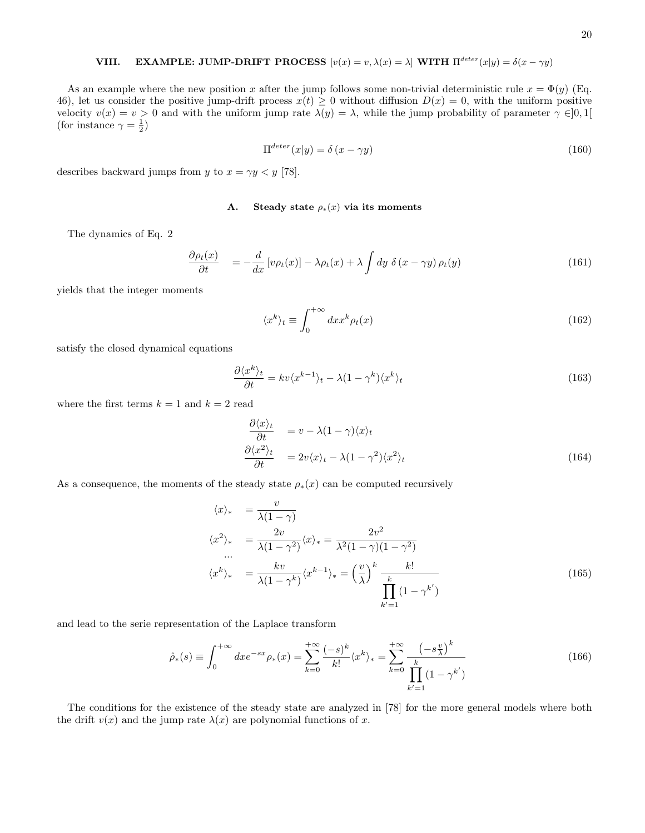# VIII. EXAMPLE: JUMP-DRIFT PROCESS  $[v(x) = v, \lambda(x) = \lambda]$  WITH  $\Pi^{detect}(x|y) = \delta(x - \gamma y)$

As an example where the new position x after the jump follows some non-trivial deterministic rule  $x = \Phi(y)$  (Eq. 46), let us consider the positive jump-drift process  $x(t) \geq 0$  without diffusion  $D(x) = 0$ , with the uniform positive velocity  $v(x) = v > 0$  and with the uniform jump rate  $\lambda(y) = \lambda$ , while the jump probability of parameter  $\gamma \in ]0,1[$ (for instance  $\gamma = \frac{1}{2}$ )

$$
\Pi^{deter}(x|y) = \delta(x - \gamma y) \tag{160}
$$

describes backward jumps from y to  $x = \gamma y < y$  [78].

#### A. Steady state  $\rho_*(x)$  via its moments

The dynamics of Eq. 2

$$
\frac{\partial \rho_t(x)}{\partial t} = -\frac{d}{dx} \left[ v \rho_t(x) \right] - \lambda \rho_t(x) + \lambda \int dy \ \delta(x - \gamma y) \rho_t(y) \tag{161}
$$

yields that the integer moments

$$
\langle x^k \rangle_t \equiv \int_0^{+\infty} dx x^k \rho_t(x) \tag{162}
$$

satisfy the closed dynamical equations

$$
\frac{\partial \langle x^k \rangle_t}{\partial t} = kv \langle x^{k-1} \rangle_t - \lambda (1 - \gamma^k) \langle x^k \rangle_t \tag{163}
$$

where the first terms  $k = 1$  and  $k = 2$  read

$$
\frac{\partial \langle x \rangle_t}{\partial t} = v - \lambda (1 - \gamma) \langle x \rangle_t
$$
  
\n
$$
\frac{\partial \langle x^2 \rangle_t}{\partial t} = 2v \langle x \rangle_t - \lambda (1 - \gamma^2) \langle x^2 \rangle_t
$$
 (164)

As a consequence, the moments of the steady state  $\rho_*(x)$  can be computed recursively

$$
\langle x \rangle_* = \frac{v}{\lambda(1-\gamma)}
$$
  
\n
$$
\langle x^2 \rangle_* = \frac{2v}{\lambda(1-\gamma^2)} \langle x \rangle_* = \frac{2v^2}{\lambda^2(1-\gamma)(1-\gamma^2)}
$$
  
\n
$$
\langle x^k \rangle_* = \frac{kv}{\lambda(1-\gamma^k)} \langle x^{k-1} \rangle_* = \left(\frac{v}{\lambda}\right)^k \frac{k!}{\prod_{k'=1}^k (1-\gamma^{k'})}
$$
\n(165)

and lead to the serie representation of the Laplace transform

$$
\hat{\rho}_*(s) \equiv \int_0^{+\infty} dx e^{-sx} \rho_*(x) = \sum_{k=0}^{+\infty} \frac{(-s)^k}{k!} \langle x^k \rangle_* = \sum_{k=0}^{+\infty} \frac{(-s\frac{v}{\lambda})^k}{\prod_{k'=1}^k (1 - \gamma^{k'})}
$$
(166)

The conditions for the existence of the steady state are analyzed in [78] for the more general models where both the drift  $v(x)$  and the jump rate  $\lambda(x)$  are polynomial functions of x.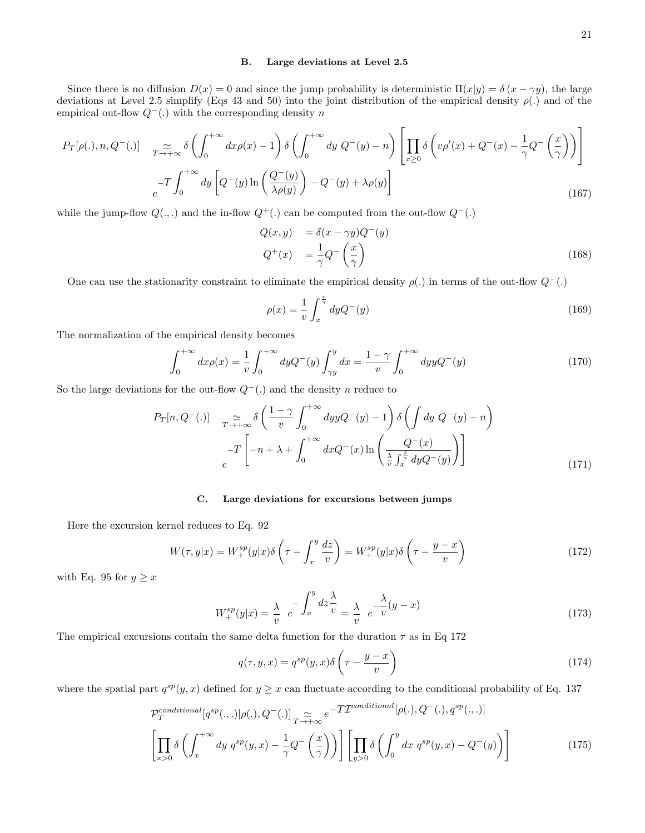#### B. Large deviations at Level 2.5

Since there is no diffusion  $D(x) = 0$  and since the jump probability is deterministic  $\Pi(x|y) = \delta(x - \gamma y)$ , the large deviations at Level 2.5 simplify (Eqs 43 and 50) into the joint distribution of the empirical density  $\rho(.)$  and of the empirical out-flow  $Q^{-}$ (.) with the corresponding density n

$$
P_T[\rho(.), n, Q^-(.)] \quad \underset{c}{\sim} \underset{d}{\sim} \delta \left( \int_0^{+\infty} dx \rho(x) - 1 \right) \delta \left( \int_0^{+\infty} dy \ Q^-(y) - n \right) \left[ \prod_{x \ge 0} \delta \left( v \rho'(x) + Q^-(x) - \frac{1}{\gamma} Q^-(\frac{x}{\gamma}) \right) \right]
$$

$$
-T \int_0^{+\infty} dy \left[ Q^-(y) \ln \left( \frac{Q^-(y)}{\lambda \rho(y)} \right) - Q^-(y) + \lambda \rho(y) \right]
$$
(167)

while the jump-flow  $Q(.,.)$  and the in-flow  $Q^+(.)$  can be computed from the out-flow  $Q^-(.)$ 

$$
Q(x, y) = \delta(x - \gamma y)Q^{-}(y)
$$
  
\n
$$
Q^{+}(x) = \frac{1}{\gamma}Q^{-}\left(\frac{x}{\gamma}\right)
$$
\n(168)

One can use the stationarity constraint to eliminate the empirical density  $\rho(.)$  in terms of the out-flow  $Q^{-}(.)$ 

$$
\rho(x) = \frac{1}{v} \int_{x}^{\frac{x}{\gamma}} dy Q^{-}(y) \tag{169}
$$

The normalization of the empirical density becomes

$$
\int_0^{+\infty} dx \rho(x) = \frac{1}{v} \int_0^{+\infty} dy Q^-(y) \int_{\gamma y}^y dx = \frac{1-\gamma}{v} \int_0^{+\infty} dy y Q^-(y)
$$
 (170)

So the large deviations for the out-flow  $Q^{-}$ (.) and the density n reduce to

$$
P_T[n, Q^-(.)] \quad \underset{c}{\simeq} \widetilde{\delta} \left( \frac{1 - \gamma}{v} \int_0^{+\infty} dy y Q^-(y) - 1 \right) \delta \left( \int dy \ Q^-(y) - n \right)
$$

$$
-T \left[ -n + \lambda + \int_0^{+\infty} dx Q^-(x) \ln \left( \frac{Q^-(x)}{\frac{\lambda}{v} \int_x^{\frac{x}{\gamma}} dy Q^-(y)} \right) \right]
$$
(171)

#### C. Large deviations for excursions between jumps

Here the excursion kernel reduces to Eq. 92

$$
W(\tau, y|x) = W_+^{sp}(y|x)\delta\left(\tau - \int_x^y \frac{dz}{v}\right) = W_+^{sp}(y|x)\delta\left(\tau - \frac{y-x}{v}\right)
$$
\n(172)

with Eq. 95 for  $y \geq x$ 

$$
W_+^{sp}(y|x) = \frac{\lambda}{v} e^{-\int_x^y dz \frac{\lambda}{v}} = \frac{\lambda}{v} e^{-\frac{\lambda}{v}(y-x)}
$$
\n(173)

The empirical excursions contain the same delta function for the duration  $\tau$  as in Eq 172

$$
q(\tau, y, x) = q^{sp}(y, x)\delta\left(\tau - \frac{y - x}{v}\right)
$$
\n(174)

where the spatial part  $q^{sp}(y, x)$  defined for  $y \geq x$  can fluctuate according to the conditional probability of Eq. 137

$$
\mathcal{P}_T^{conditional}[q^{sp}(.,.)|\rho(.), Q^-(.)] \underset{T \to +\infty}{\simeq} e^{-T\mathcal{I}^{conditional}[p(.), Q^-(.), q^{sp}(.,.)]}
$$
\n
$$
\left[ \prod_{x>0} \delta\left( \int_x^{+\infty} dy \ q^{sp}(y,x) - \frac{1}{\gamma} Q^-(\frac{x}{\gamma}) \right) \right] \left[ \prod_{y>0} \delta\left( \int_0^y dx \ q^{sp}(y,x) - Q^-(y) \right) \right]
$$
\n(175)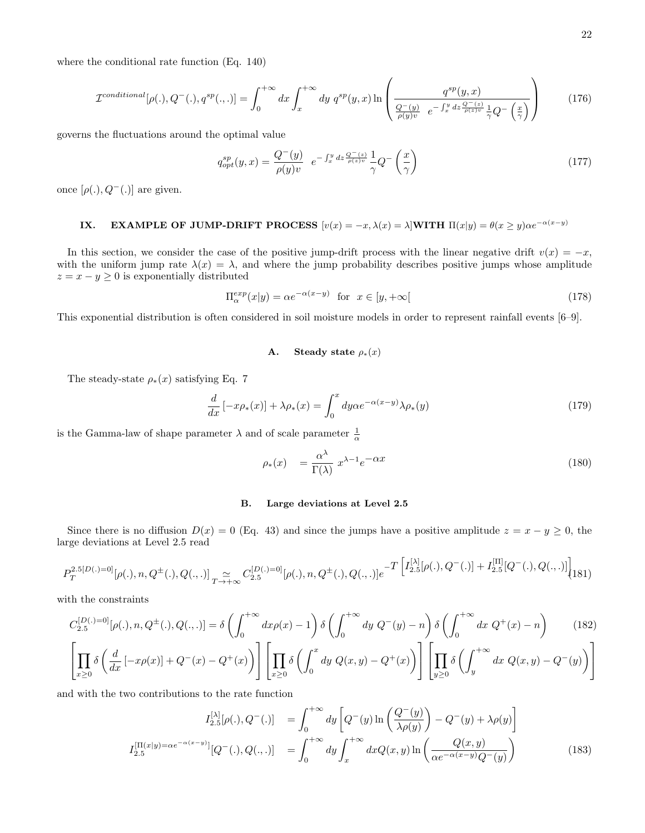where the conditional rate function (Eq. 140)

$$
\mathcal{I}^{conditional}[\rho(.), Q^{-}(.), q^{sp}(., .)] = \int_{0}^{+\infty} dx \int_{x}^{+\infty} dy \ q^{sp}(y, x) \ln\left(\frac{q^{sp}(y, x)}{\frac{Q^{-}(y)}{\rho(y)v} e^{-\int_{x}^{y} dz \frac{Q^{-}(z)}{\rho(z)v} \frac{1}{\gamma}Q^{-}\left(\frac{x}{\gamma}\right)}}\right)
$$
(176)

governs the fluctuations around the optimal value

$$
q_{opt}^{sp}(y,x) = \frac{Q^{-}(y)}{\rho(y)v} e^{-\int_x^y dz \frac{Q^{-}(z)}{\rho(z)v}} \frac{1}{\gamma} Q^{-}\left(\frac{x}{\gamma}\right)
$$
\n(177)

once  $[\rho(.)$ ,  $Q^-(.)$  are given.

# IX. EXAMPLE OF JUMP-DRIFT PROCESS  $[v(x) = -x, \lambda(x) = \lambda]$ WITH  $\Pi(x|y) = \theta(x \ge y)\alpha e^{-\alpha(x-y)}$

In this section, we consider the case of the positive jump-drift process with the linear negative drift  $v(x) = -x$ , with the uniform jump rate  $\lambda(x) = \lambda$ , and where the jump probability describes positive jumps whose amplitude  $z = x - y \geq 0$  is exponentially distributed

$$
\Pi_{\alpha}^{exp}(x|y) = \alpha e^{-\alpha(x-y)} \quad \text{for} \quad x \in [y, +\infty[ \tag{178}
$$

This exponential distribution is often considered in soil moisture models in order to represent rainfall events [6–9].

## A. Steady state  $\rho_*(x)$

The steady-state  $\rho_*(x)$  satisfying Eq. 7

$$
\frac{d}{dx}\left[-x\rho_*(x)\right] + \lambda \rho_*(x) = \int_0^x dy\alpha e^{-\alpha(x-y)}\lambda \rho_*(y) \tag{179}
$$

is the Gamma-law of shape parameter  $\lambda$  and of scale parameter  $\frac{1}{\alpha}$ 

$$
\rho_*(x) = \frac{\alpha^\lambda}{\Gamma(\lambda)} x^{\lambda - 1} e^{-\alpha x} \tag{180}
$$

## B. Large deviations at Level 2.5

Since there is no diffusion  $D(x) = 0$  (Eq. 43) and since the jumps have a positive amplitude  $z = x - y \ge 0$ , the large deviations at Level 2.5 read

$$
P_T^{2.5[D(.)=0]}[\rho(.), n, Q^{\pm}(.) , Q(., .)] \underset{T \to +\infty}{\simeq} C_{2.5}^{[D(.)=0]}[\rho(.), n, Q^{\pm}(.) , Q(., .)] e^{-T \left[ I_{2.5}^{[\lambda]}[\rho(.), Q^-(.)] + I_{2.5}^{[\Pi]}[Q^-(.) , Q(., .)] \right]} (181)
$$

with the constraints

$$
C_{2.5}^{[D(.)=0]}[\rho(.), n, Q^{\pm}(.) , Q(., .)] = \delta \left( \int_0^{+\infty} dx \rho(x) - 1 \right) \delta \left( \int_0^{+\infty} dy \ Q^-(y) - n \right) \delta \left( \int_0^{+\infty} dx \ Q^+(x) - n \right) \tag{182}
$$

$$
\left[ \prod_{x \ge 0} \delta \left( \frac{d}{dx} \left[ -x \rho(x) \right] + Q^-(x) - Q^+(x) \right) \right] \left[ \prod_{x \ge 0} \delta \left( \int_0^x dy \ Q(x, y) - Q^+(x) \right) \right] \left[ \prod_{y \ge 0} \delta \left( \int_y^{+\infty} dx \ Q(x, y) - Q^-(y) \right) \right]
$$

and with the two contributions to the rate function

$$
I_{2.5}^{[\mathcal{N}]}[\rho(.), Q^{-}(.)] = \int_{0}^{+\infty} dy \left[ Q^{-}(y) \ln \left( \frac{Q^{-}(y)}{\lambda \rho(y)} \right) - Q^{-}(y) + \lambda \rho(y) \right]
$$

$$
I_{2.5}^{[\Pi(x|y) = \alpha e^{-\alpha(x-y)}]}[Q^{-}(.), Q(., .)] = \int_{0}^{+\infty} dy \int_{x}^{+\infty} dx Q(x, y) \ln \left( \frac{Q(x, y)}{\alpha e^{-\alpha(x-y)}Q^{-}(y)} \right)
$$
(183)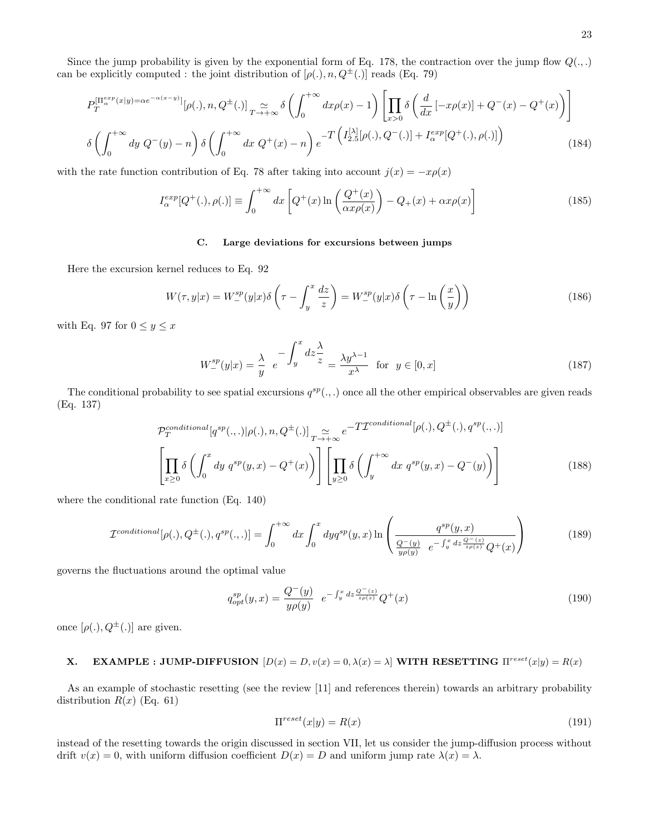Since the jump probability is given by the exponential form of Eq. 178, the contraction over the jump flow  $Q(.,.)$ can be explicitly computed : the joint distribution of  $[\rho(.), n, Q^{\pm}(.)]$  reads (Eq. 79)

$$
P_T^{\left[\Pi_{\alpha}^{exp}(x|y) = \alpha e^{-\alpha(x-y)}\right]}[\rho(.), n, Q^{\pm}(.)]_{T \to +\infty} \delta\left(\int_0^{+\infty} dx \rho(x) - 1\right) \left[\prod_{x>0} \delta\left(\frac{d}{dx} \left[-x\rho(x)\right] + Q^-(x) - Q^+(x)\right)\right]
$$

$$
\delta\left(\int_0^{+\infty} dy \ Q^-(y) - n\right) \delta\left(\int_0^{+\infty} dx \ Q^+(x) - n\right) e^{-T\left(I_{2.5}^{\left[\lambda\right]}[\rho(.), Q^-(.)]\right) + I_{\alpha}^{exp}[Q^+(.),\rho(.)]\right) \tag{184}
$$

with the rate function contribution of Eq. 78 after taking into account  $j(x) = -x\rho(x)$ 

$$
I_{\alpha}^{exp}[Q^{+}(.) , \rho(.)] \equiv \int_0^{+\infty} dx \left[ Q^{+}(x) \ln \left( \frac{Q^{+}(x)}{\alpha x \rho(x)} \right) - Q_{+}(x) + \alpha x \rho(x) \right]
$$
(185)

## C. Large deviations for excursions between jumps

Here the excursion kernel reduces to Eq. 92

$$
W(\tau, y|x) = W_{-}^{sp}(y|x)\delta\left(\tau - \int_{y}^{x} \frac{dz}{z}\right) = W_{-}^{sp}(y|x)\delta\left(\tau - \ln\left(\frac{x}{y}\right)\right)
$$
(186)

with Eq. 97 for  $0 \le y \le x$ 

$$
W_{-}^{sp}(y|x) = \frac{\lambda}{y} e^{-\int_{y}^{x} dz \frac{\lambda}{z}} = \frac{\lambda y^{\lambda - 1}}{x^{\lambda}} \text{ for } y \in [0, x]
$$
 (187)

The conditional probability to see spatial excursions  $q^{sp}(.,.)$  once all the other empirical observables are given reads (Eq. 137)

$$
\mathcal{P}_T^{conditional}[q^{sp}(.,.)|\rho(.),n,Q^{\pm}(.)]\sum_{T\to+\infty}e^{-T\mathcal{I}^{conditional}[\rho(.),Q^{\pm}(.),q^{sp}(.,.)]}
$$

$$
\left[\prod_{x\geq 0}\delta\left(\int_0^x dy\ q^{sp}(y,x)-Q^+(x)\right)\right]\left[\prod_{y\geq 0}\delta\left(\int_y^{+\infty} dx\ q^{sp}(y,x)-Q^-(y)\right)\right]
$$
(188)

where the conditional rate function (Eq. 140)

$$
\mathcal{I}^{conditional}[\rho(.), Q^{\pm}(.) , q^{sp}(., .)] = \int_{0}^{+\infty} dx \int_{0}^{x} dy q^{sp}(y, x) \ln \left( \frac{q^{sp}(y, x)}{\frac{Q^{-}(y)}{y \rho(y)}} e^{-\int_{y}^{x} dz \frac{Q^{-}(z)}{z \rho(z)}} Q^{+}(x) \right)
$$
(189)

governs the fluctuations around the optimal value

$$
q_{opt}^{sp}(y,x) = \frac{Q^{-}(y)}{y\rho(y)} e^{-\int_{y}^{x} dz \frac{Q^{-}(z)}{z\rho(z)}} Q^{+}(x)
$$
\n(190)

once  $[\rho(.)$ ,  $Q^{\pm}(.)$  are given.

# **X.** EXAMPLE : JUMP-DIFFUSION  $[D(x) = D, v(x) = 0, \lambda(x) = \lambda]$  WITH RESETTING  $\Pi^{reset}(x|y) = R(x)$

As an example of stochastic resetting (see the review [11] and references therein) towards an arbitrary probability distribution  $R(x)$  (Eq. 61)

$$
\Pi^{reset}(x|y) = R(x) \tag{191}
$$

instead of the resetting towards the origin discussed in section VII, let us consider the jump-diffusion process without drift  $v(x) = 0$ , with uniform diffusion coefficient  $D(x) = D$  and uniform jump rate  $\lambda(x) = \lambda$ .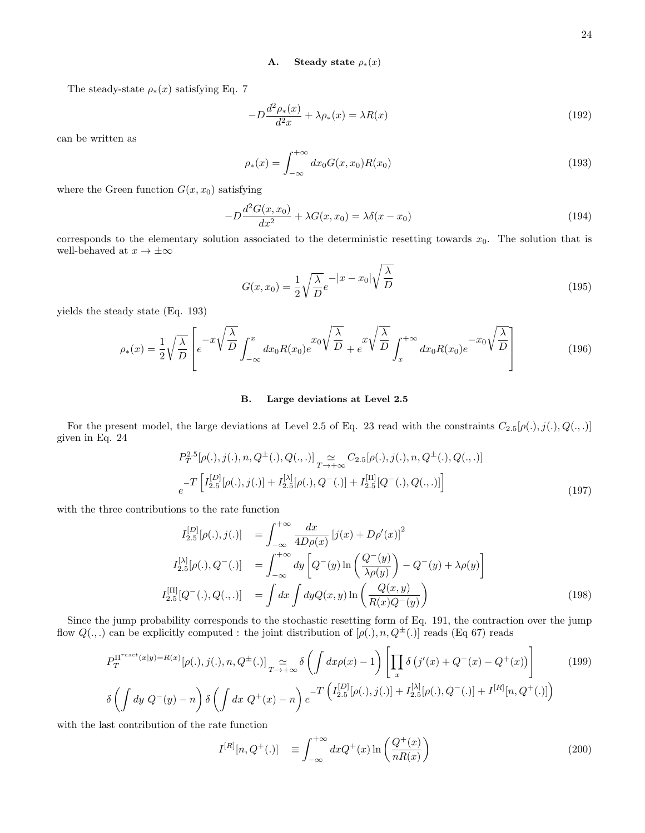## A. Steady state  $\rho_*(x)$

The steady-state  $\rho_*(x)$  satisfying Eq. 7

$$
-D\frac{d^2\rho_*(x)}{d^2x} + \lambda \rho_*(x) = \lambda R(x) \tag{192}
$$

can be written as

$$
\rho_*(x) = \int_{-\infty}^{+\infty} dx_0 G(x, x_0) R(x_0)
$$
\n(193)

where the Green function  $G(x, x_0)$  satisfying

$$
-D\frac{d^2G(x, x_0)}{dx^2} + \lambda G(x, x_0) = \lambda \delta(x - x_0)
$$
\n(194)

corresponds to the elementary solution associated to the deterministic resetting towards  $x_0$ . The solution that is well-behaved at  $x\to\pm\infty$ 

$$
G(x, x_0) = \frac{1}{2} \sqrt{\frac{\lambda}{D}} e^{-\left|x - x_0\right|} \sqrt{\frac{\lambda}{D}}
$$
\n(195)

yields the steady state (Eq. 193)

$$
\rho_*(x) = \frac{1}{2} \sqrt{\frac{\lambda}{D}} \left[ e^{-x\sqrt{\frac{\lambda}{D}}} \int_{-\infty}^x dx_0 R(x_0) e^{x_0\sqrt{\frac{\lambda}{D}}} + e^{-x\sqrt{\frac{\lambda}{D}}} \int_x^{+\infty} dx_0 R(x_0) e^{-x_0\sqrt{\frac{\lambda}{D}}} \right]
$$
(196)

## B. Large deviations at Level 2.5

For the present model, the large deviations at Level 2.5 of Eq. 23 read with the constraints  $C_{2.5}[\rho(.), j(.), Q(., .)]$ given in Eq. 24

$$
P_T^{2.5}[\rho(.), j(.), n, Q^{\pm}(.) , Q(., .)]_{T \to +\infty} C_{2.5}[\rho(.), j(.), n, Q^{\pm}(.) , Q(., .)]
$$
  

$$
-T \left[ I_{2.5}^{[D]}[\rho(.), j(.)] + I_{2.5}^{[\lambda]}[\rho(.), Q^{-}(.)] + I_{2.5}^{[\Pi]}[Q^{-}(.) , Q(., .)] \right]
$$
(197)

with the three contributions to the rate function

$$
I_{2.5}^{[D]}[\rho(.), j(.)] = \int_{-\infty}^{+\infty} \frac{dx}{4D\rho(x)} [j(x) + D\rho'(x)]^2
$$
  
\n
$$
I_{2.5}^{[\lambda]}[\rho(.), Q^{-}(.)] = \int_{-\infty}^{+\infty} dy \left[ Q^{-}(y) \ln \left( \frac{Q^{-}(y)}{\lambda \rho(y)} \right) - Q^{-}(y) + \lambda \rho(y) \right]
$$
  
\n
$$
I_{2.5}^{[\Pi]}[Q^{-}(.), Q(., .)] = \int dx \int dy Q(x, y) \ln \left( \frac{Q(x, y)}{R(x)Q^{-}(y)} \right)
$$
\n(198)

Since the jump probability corresponds to the stochastic resetting form of Eq. 191, the contraction over the jump flow  $Q(.,.)$  can be explicitly computed : the joint distribution of  $[\rho(.), n, Q^{\pm}(.)]$  reads (Eq 67) reads

$$
P_T^{\Pi^{reset}(x|y)=R(x)}[\rho(.), j(.), n, Q^{\pm}(.)]_{T \to +\infty} \delta\left(\int dx \rho(x) - 1\right) \left[\prod_x \delta\left(j'(x) + Q^-(x) - Q^+(x)\right)\right]
$$
(199)  

$$
\delta\left(\int dy \ Q^-(y) - n\right) \delta\left(\int dx \ Q^+(x) - n\right) e^{-T\left(I_{2.5}^{[D]}[\rho(.), j(.)]\right) + I_{2.5}^{[\lambda]}[\rho(.), Q^-(.)] + I^{[R]}[n, Q^+(.)]\right)
$$

with the last contribution of the rate function

$$
I^{[R]}[n, Q^+(\mathbf{.})] \equiv \int_{-\infty}^{+\infty} dx Q^+(x) \ln\left(\frac{Q^+(x)}{nR(x)}\right) \tag{200}
$$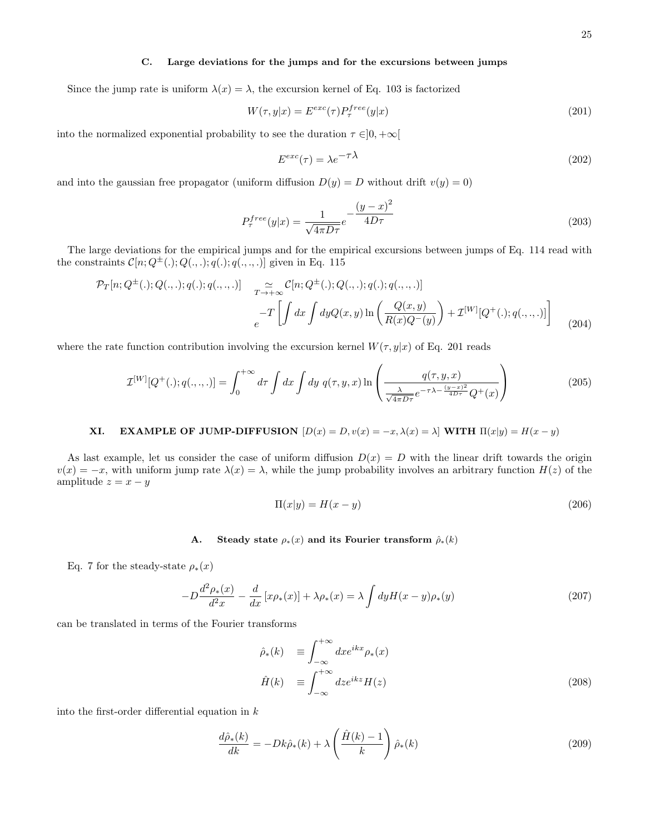#### C. Large deviations for the jumps and for the excursions between jumps

Since the jump rate is uniform  $\lambda(x) = \lambda$ , the excursion kernel of Eq. 103 is factorized

$$
W(\tau, y|x) = E^{exc}(\tau)P^{free}_{\tau}(y|x)
$$
\n(201)

into the normalized exponential probability to see the duration  $\tau \in ]0, +\infty[$ 

$$
E^{exc}(\tau) = \lambda e^{-\tau \lambda} \tag{202}
$$

and into the gaussian free propagator (uniform diffusion  $D(y) = D$  without drift  $v(y) = 0$ )

$$
P_{\tau}^{free}(y|x) = \frac{1}{\sqrt{4\pi D\tau}}e^{-\frac{(y-x)^2}{4D\tau}}\tag{203}
$$

The large deviations for the empirical jumps and for the empirical excursions between jumps of Eq. 114 read with the constraints  $C[n; Q^{\pm}(.); Q(., .); q(.); q(., ., .)]$  given in Eq. 115

$$
\mathcal{P}_{T}[n; Q^{\pm}(.); Q(.,.); q(.),; q(.,.,.)] \quad \underset{c}{\approx} \mathcal{C}[n; Q^{\pm}(.); Q(.,.); q(.),; q(.,.,.)]
$$
\n
$$
-T \left[ \int dx \int dy Q(x,y) \ln \left( \frac{Q(x,y)}{R(x)Q^-(y)} \right) + \mathcal{I}^{[W]}[Q^+(\cdot); q(.,.,.)] \right] \tag{204}
$$

where the rate function contribution involving the excursion kernel  $W(\tau, y|x)$  of Eq. 201 reads

$$
\mathcal{I}^{[W]}[Q^+(\cdot);q(\cdot,\cdot,\cdot)]=\int_0^{+\infty}d\tau\int dx\int dy\ q(\tau,y,x)\ln\left(\frac{q(\tau,y,x)}{\frac{\lambda}{\sqrt{4\pi D\tau}}e^{-\tau\lambda-\frac{(y-x)^2}{4D\tau}}Q^+(x)}\right) \tag{205}
$$

# **XI.** EXAMPLE OF JUMP-DIFFUSION  $[D(x) = D, v(x) = -x, \lambda(x) = \lambda]$  WITH  $\Pi(x|y) = H(x - y)$

As last example, let us consider the case of uniform diffusion  $D(x) = D$  with the linear drift towards the origin  $v(x) = -x$ , with uniform jump rate  $\lambda(x) = \lambda$ , while the jump probability involves an arbitrary function  $H(z)$  of the amplitude  $z = x - y$ 

$$
\Pi(x|y) = H(x - y) \tag{206}
$$

#### A. Steady state  $\rho_*(x)$  and its Fourier transform  $\hat{\rho}_*(k)$

Eq. 7 for the steady-state  $\rho_*(x)$ 

$$
-D\frac{d^2\rho_*(x)}{d^2x} - \frac{d}{dx}\left[x\rho_*(x)\right] + \lambda\rho_*(x) = \lambda \int dy H(x-y)\rho_*(y) \tag{207}
$$

can be translated in terms of the Fourier transforms

$$
\hat{\rho}_{*}(k) \equiv \int_{-\infty}^{+\infty} dx e^{ikx} \rho_{*}(x) \n\hat{H}(k) \equiv \int_{-\infty}^{+\infty} dz e^{ikz} H(z)
$$
\n(208)

into the first-order differential equation in  $k$ 

$$
\frac{d\hat{\rho}_*(k)}{dk} = -Dk\hat{\rho}_*(k) + \lambda \left(\frac{\hat{H}(k) - 1}{k}\right)\hat{\rho}_*(k)
$$
\n(209)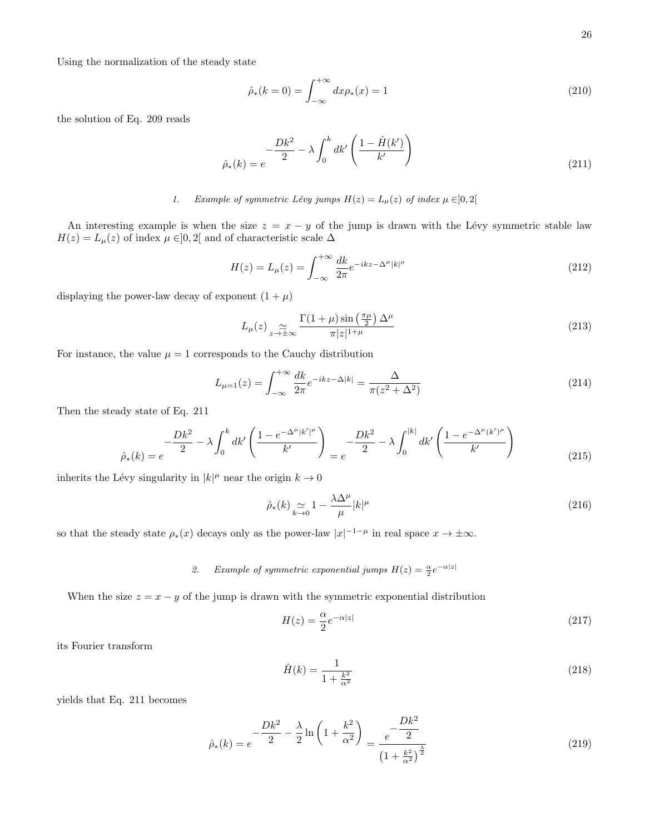Using the normalization of the steady state

$$
\hat{\rho}_*(k=0) = \int_{-\infty}^{+\infty} dx \rho_*(x) = 1 \tag{210}
$$

the solution of Eq. 209 reads

$$
\hat{\rho}_*(k) = e^{-\frac{Dk^2}{2} - \lambda \int_0^k dk'} \left( \frac{1 - \hat{H}(k')}{k'} \right)
$$
\n(211)

# 1. Example of symmetric Lévy jumps  $H(z) = L_{\mu}(z)$  of index  $\mu \in ]0,2[$

An interesting example is when the size  $z = x - y$  of the jump is drawn with the Lévy symmetric stable law  $H(z) = L_{\mu}(z)$  of index  $\mu \in ]0,2[$  and of characteristic scale  $\Delta$ 

$$
H(z) = L_{\mu}(z) = \int_{-\infty}^{+\infty} \frac{dk}{2\pi} e^{-ikz - \Delta^{\mu}|k|^{\mu}}
$$
\n(212)

displaying the power-law decay of exponent  $(1 + \mu)$ 

$$
L_{\mu}(z) \underset{z \to \pm \infty}{\simeq} \frac{\Gamma(1+\mu) \sin\left(\frac{\pi \mu}{2}\right) \Delta^{\mu}}{\pi |z|^{1+\mu}} \tag{213}
$$

For instance, the value  $\mu = 1$  corresponds to the Cauchy distribution

$$
L_{\mu=1}(z) = \int_{-\infty}^{+\infty} \frac{dk}{2\pi} e^{-ikz - \Delta|k|} = \frac{\Delta}{\pi(z^2 + \Delta^2)}
$$
(214)

Then the steady state of Eq. 211

$$
\hat{\rho}_{*}(k) = e^{-\frac{Dk^{2}}{2} - \lambda \int_{0}^{k} dk' \left( \frac{1 - e^{-\Delta^{\mu} |k'|^{\mu}}}{k'} \right)} = e^{-\frac{Dk^{2}}{2} - \lambda \int_{0}^{|k|} dk' \left( \frac{1 - e^{-\Delta^{\mu}(k')^{\mu}}}{k'} \right)}
$$
(215)

inherits the Lévy singularity in  $|k|^{\mu}$  near the origin  $k \to 0$ 

$$
\hat{\rho}_{*}(k) \underset{k \to 0}{\simeq} 1 - \frac{\lambda \Delta^{\mu}}{\mu} |k|^{\mu} \tag{216}
$$

so that the steady state  $\rho_*(x)$  decays only as the power-law  $|x|^{-1-\mu}$  in real space  $x \to \pm \infty$ .

2. Example of symmetric exponential jumps  $H(z) = \frac{\alpha}{2} e^{-\alpha|z|}$ 

When the size  $z = x - y$  of the jump is drawn with the symmetric exponential distribution

$$
H(z) = \frac{\alpha}{2} e^{-\alpha|z|} \tag{217}
$$

its Fourier transform

$$
\hat{H}(k) = \frac{1}{1 + \frac{k^2}{\alpha^2}}\tag{218}
$$

yields that Eq. 211 becomes

$$
\hat{\rho}_{*}(k) = e^{-\frac{Dk^2}{2} - \frac{\lambda}{2} \ln \left( 1 + \frac{k^2}{\alpha^2} \right)} = \frac{e^{-\frac{Dk^2}{2}}}{\left( 1 + \frac{k^2}{\alpha^2} \right)^{\frac{\lambda}{2}}} \tag{219}
$$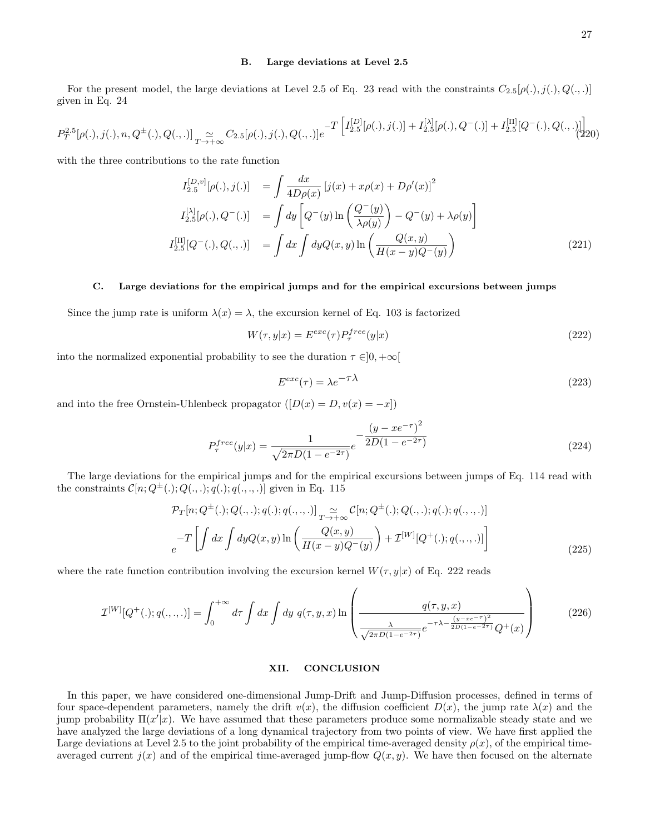#### B. Large deviations at Level 2.5

For the present model, the large deviations at Level 2.5 of Eq. 23 read with the constraints  $C_{2.5}[\rho(.), j(.), Q(., .)]$ given in Eq. 24

$$
P_T^{2.5}[\rho(.), j(.), n, Q^{\pm}(.) , Q(., .)]_{T \to +\infty} \simeq C_{2.5}[\rho(.), j(.), Q(., .)]e^{-T\left[I_{2.5}^{[D]}[\rho(.), j(.)] + I_{2.5}^{[\lambda]}[\rho(.), Q^-(.)] + I_{2.5}^{[\Pi]}[Q^-(.) , Q(., .)]\right]}.
$$

with the three contributions to the rate function

$$
I_{2.5}^{[D,v]}[\rho(.),j(.)] = \int \frac{dx}{4D\rho(x)} \left[j(x) + x\rho(x) + D\rho'(x)\right]^2
$$
  
\n
$$
I_{2.5}^{[\lambda]}[\rho(.),Q^-(.)] = \int dy \left[Q^-(y)\ln\left(\frac{Q^-(y)}{\lambda\rho(y)}\right) - Q^-(y) + \lambda\rho(y)\right]
$$
  
\n
$$
I_{2.5}^{[\Pi]}[Q^-(.),Q(.,.)] = \int dx \int dy Q(x,y) \ln\left(\frac{Q(x,y)}{H(x-y)Q^-(y)}\right)
$$
(221)

#### C. Large deviations for the empirical jumps and for the empirical excursions between jumps

Since the jump rate is uniform  $\lambda(x) = \lambda$ , the excursion kernel of Eq. 103 is factorized

$$
W(\tau, y|x) = E^{exc}(\tau)P^{free}_{\tau}(y|x)
$$
\n(222)

into the normalized exponential probability to see the duration  $\tau \in ]0, +\infty[$ 

$$
E^{exc}(\tau) = \lambda e^{-\tau \lambda} \tag{223}
$$

and into the free Ornstein-Uhlenbeck propagator  $([D(x) = D, v(x) = -x])$ 

$$
P_{\tau}^{free}(y|x) = \frac{1}{\sqrt{2\pi D(1 - e^{-2\tau})}} e^{-\frac{(y - xe^{-\tau})^2}{2D(1 - e^{-2\tau})}}
$$
(224)

The large deviations for the empirical jumps and for the empirical excursions between jumps of Eq. 114 read with the constraints  $C[n; Q^{\pm}(.); Q(., .); q(.); q(., ., .)]$  given in Eq. 115

$$
\mathcal{P}_{T}[n; Q^{\pm}(.); Q(., .); q(.); q(., .,.)] \underset{q \to +\infty}{\sim} C[n; Q^{\pm}(.); Q(., .); q(., .,.)]
$$
  
\n
$$
-T \left[ \int dx \int dy Q(x, y) \ln \left( \frac{Q(x, y)}{H(x - y)Q^{-}(y)} \right) + \mathcal{I}^{[W]}[Q^{+}(.); q(., ., .)] \right]
$$
\n(225)

where the rate function contribution involving the excursion kernel  $W(\tau, y|x)$  of Eq. 222 reads

$$
\mathcal{I}^{[W]}[Q^+(\cdot); q(.,.,.)] = \int_0^{+\infty} d\tau \int dx \int dy \ q(\tau, y, x) \ln \left( \frac{q(\tau, y, x)}{\sqrt{2\pi D(1 - e^{-2\tau})}} e^{-\tau \lambda - \frac{(y - xe^{-\tau})^2}{2D(1 - e^{-2\tau})}} Q^+(x) \right) \tag{226}
$$

#### XII. CONCLUSION

In this paper, we have considered one-dimensional Jump-Drift and Jump-Diffusion processes, defined in terms of four space-dependent parameters, namely the drift  $v(x)$ , the diffusion coefficient  $D(x)$ , the jump rate  $\lambda(x)$  and the jump probability  $\Pi(x'|x)$ . We have assumed that these parameters produce some normalizable steady state and we have analyzed the large deviations of a long dynamical trajectory from two points of view. We have first applied the Large deviations at Level 2.5 to the joint probability of the empirical time-averaged density  $\rho(x)$ , of the empirical timeaveraged current  $j(x)$  and of the empirical time-averaged jump-flow  $Q(x, y)$ . We have then focused on the alternate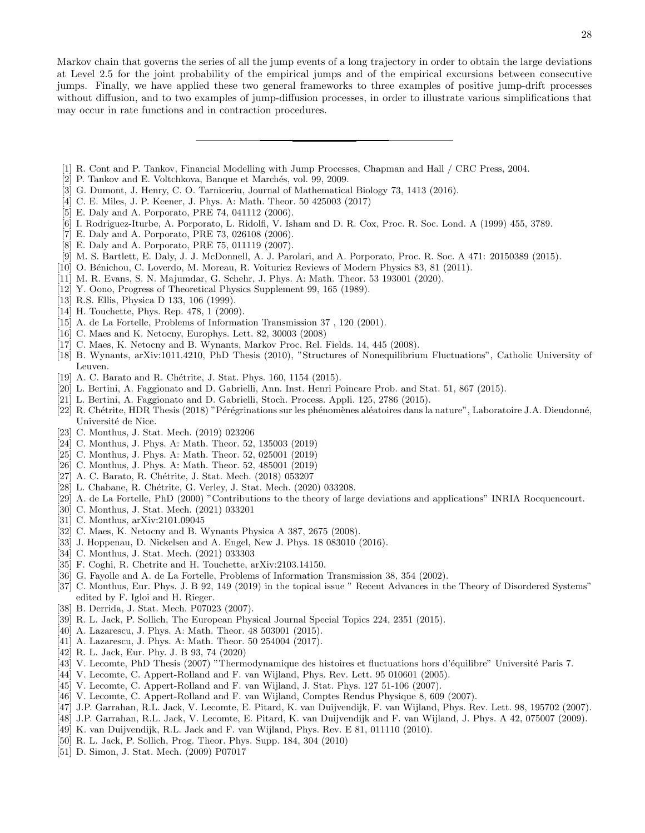Markov chain that governs the series of all the jump events of a long trajectory in order to obtain the large deviations at Level 2.5 for the joint probability of the empirical jumps and of the empirical excursions between consecutive jumps. Finally, we have applied these two general frameworks to three examples of positive jump-drift processes without diffusion, and to two examples of jump-diffusion processes, in order to illustrate various simplifications that may occur in rate functions and in contraction procedures.

- [1] R. Cont and P. Tankov, Financial Modelling with Jump Processes, Chapman and Hall / CRC Press, 2004.
- [2] P. Tankov and E. Voltchkova, Banque et Marchés, vol. 99, 2009.
- [3] G. Dumont, J. Henry, C. O. Tarniceriu, Journal of Mathematical Biology 73, 1413 (2016).
- [4] C. E. Miles, J. P. Keener, J. Phys. A: Math. Theor. 50 425003 (2017)
- [5] E. Daly and A. Porporato, PRE 74, 041112 (2006).
- [6] I. Rodriguez-Iturbe, A. Porporato, L. Ridolfi, V. Isham and D. R. Cox, Proc. R. Soc. Lond. A (1999) 455, 3789.
- [7] E. Daly and A. Porporato, PRE 73, 026108 (2006).
- [8] E. Daly and A. Porporato, PRE 75, 011119 (2007).
- [9] M. S. Bartlett, E. Daly, J. J. McDonnell, A. J. Parolari, and A. Porporato, Proc. R. Soc. A 471: 20150389 (2015).
- [10] O. Bénichou, C. Loverdo, M. Moreau, R. Voituriez Reviews of Modern Physics 83, 81 (2011).
- [11] M. R. Evans, S. N. Majumdar, G. Schehr, J. Phys. A: Math. Theor. 53 193001 (2020).
- [12] Y. Oono, Progress of Theoretical Physics Supplement 99, 165 (1989).
- [13] R.S. Ellis, Physica D 133, 106 (1999).
- [14] H. Touchette, Phys. Rep. 478, 1 (2009).
- [15] A. de La Fortelle, Problems of Information Transmission 37, 120 (2001).
- [16] C. Maes and K. Netocny, Europhys. Lett. 82, 30003 (2008)
- [17] C. Maes, K. Netocny and B. Wynants, Markov Proc. Rel. Fields. 14, 445 (2008).
- [18] B. Wynants, arXiv:1011.4210, PhD Thesis (2010), "Structures of Nonequilibrium Fluctuations", Catholic University of Leuven.
- [19] A. C. Barato and R. Chétrite, J. Stat. Phys. 160, 1154 (2015).
- [20] L. Bertini, A. Faggionato and D. Gabrielli, Ann. Inst. Henri Poincare Prob. and Stat. 51, 867 (2015).
- [21] L. Bertini, A. Faggionato and D. Gabrielli, Stoch. Process. Appli. 125, 2786 (2015).
- [22] R. Chétrite, HDR Thesis (2018) "Pérégrinations sur les phénomènes aléatoires dans la nature", Laboratoire J.A. Dieudonné, Université de Nice.
- [23] C. Monthus, J. Stat. Mech. (2019) 023206
- [24] C. Monthus, J. Phys. A: Math. Theor. 52, 135003 (2019)
- [25] C. Monthus, J. Phys. A: Math. Theor. 52, 025001 (2019)
- [26] C. Monthus, J. Phys. A: Math. Theor. 52, 485001 (2019)
- [27] A. C. Barato, R. Chétrite, J. Stat. Mech. (2018) 053207
- [28] L. Chabane, R. Chétrite, G. Verley, J. Stat. Mech. (2020) 033208.
- [29] A. de La Fortelle, PhD (2000) "Contributions to the theory of large deviations and applications" INRIA Rocquencourt.
- [30] C. Monthus, J. Stat. Mech. (2021) 033201
- [31] C. Monthus, arXiv:2101.09045
- [32] C. Maes, K. Netocny and B. Wynants Physica A 387, 2675 (2008).
- [33] J. Hoppenau, D. Nickelsen and A. Engel, New J. Phys. 18 083010 (2016).
- [34] C. Monthus, J. Stat. Mech. (2021) 033303
- [35] F. Coghi, R. Chetrite and H. Touchette, arXiv:2103.14150.
- [36] G. Fayolle and A. de La Fortelle, Problems of Information Transmission 38, 354 (2002).
- [37] C. Monthus, Eur. Phys. J. B 92, 149 (2019) in the topical issue " Recent Advances in the Theory of Disordered Systems" edited by F. Igloi and H. Rieger.
- [38] B. Derrida, J. Stat. Mech. P07023 (2007).
- [39] R. L. Jack, P. Sollich, The European Physical Journal Special Topics 224, 2351 (2015).
- [40] A. Lazarescu, J. Phys. A: Math. Theor. 48 503001 (2015).
- [41] A. Lazarescu, J. Phys. A: Math. Theor. 50 254004 (2017).
- [42] R. L. Jack, Eur. Phy. J. B 93, 74 (2020)
- [43] V. Lecomte, PhD Thesis (2007) "Thermodynamique des histoires et fluctuations hors d'´equilibre" Universit´e Paris 7.
- [44] V. Lecomte, C. Appert-Rolland and F. van Wijland, Phys. Rev. Lett. 95 010601 (2005).
- [45] V. Lecomte, C. Appert-Rolland and F. van Wijland, J. Stat. Phys. 127 51-106 (2007).
- [46] V. Lecomte, C. Appert-Rolland and F. van Wijland, Comptes Rendus Physique 8, 609 (2007).
- [47] J.P. Garrahan, R.L. Jack, V. Lecomte, E. Pitard, K. van Duijvendijk, F. van Wijland, Phys. Rev. Lett. 98, 195702 (2007).
- [48] J.P. Garrahan, R.L. Jack, V. Lecomte, E. Pitard, K. van Duijvendijk and F. van Wijland, J. Phys. A 42, 075007 (2009).
- [49] K. van Duijvendijk, R.L. Jack and F. van Wijland, Phys. Rev. E 81, 011110 (2010).
- [50] R. L. Jack, P. Sollich, Prog. Theor. Phys. Supp. 184, 304 (2010)
- [51] D. Simon, J. Stat. Mech. (2009) P07017